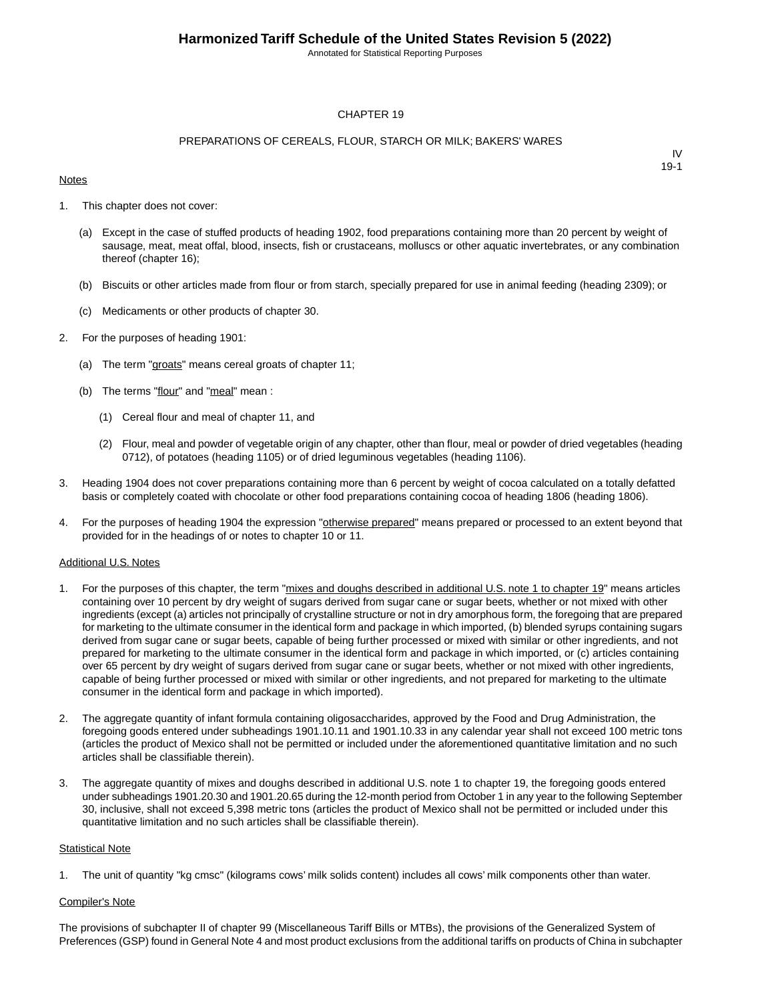Annotated for Statistical Reporting Purposes

#### CHAPTER 19

#### PREPARATIONS OF CEREALS, FLOUR, STARCH OR MILK; BAKERS' WARES

#### **Notes**

IV 19-1

- 1. This chapter does not cover:
	- (a) Except in the case of stuffed products of heading 1902, food preparations containing more than 20 percent by weight of sausage, meat, meat offal, blood, insects, fish or crustaceans, molluscs or other aquatic invertebrates, or any combination thereof (chapter 16);
	- (b) Biscuits or other articles made from flour or from starch, specially prepared for use in animal feeding (heading 2309); or
	- (c) Medicaments or other products of chapter 30.
- 2. For the purposes of heading 1901:
	- (a) The term "groats" means cereal groats of chapter 11;
	- (b) The terms "flour" and "meal" mean :
		- (1) Cereal flour and meal of chapter 11, and
		- (2) Flour, meal and powder of vegetable origin of any chapter, other than flour, meal or powder of dried vegetables (heading 0712), of potatoes (heading 1105) or of dried leguminous vegetables (heading 1106).
- 3. Heading 1904 does not cover preparations containing more than 6 percent by weight of cocoa calculated on a totally defatted basis or completely coated with chocolate or other food preparations containing cocoa of heading 1806 (heading 1806).
- 4. For the purposes of heading 1904 the expression "otherwise prepared" means prepared or processed to an extent beyond that provided for in the headings of or notes to chapter 10 or 11.

#### Additional U.S. Notes

- 1. For the purposes of this chapter, the term "mixes and doughs described in additional U.S. note 1 to chapter 19" means articles containing over 10 percent by dry weight of sugars derived from sugar cane or sugar beets, whether or not mixed with other ingredients (except (a) articles not principally of crystalline structure or not in dry amorphous form, the foregoing that are prepared for marketing to the ultimate consumer in the identical form and package in which imported, (b) blended syrups containing sugars derived from sugar cane or sugar beets, capable of being further processed or mixed with similar or other ingredients, and not prepared for marketing to the ultimate consumer in the identical form and package in which imported, or (c) articles containing over 65 percent by dry weight of sugars derived from sugar cane or sugar beets, whether or not mixed with other ingredients, capable of being further processed or mixed with similar or other ingredients, and not prepared for marketing to the ultimate consumer in the identical form and package in which imported).
- 2. The aggregate quantity of infant formula containing oligosaccharides, approved by the Food and Drug Administration, the foregoing goods entered under subheadings 1901.10.11 and 1901.10.33 in any calendar year shall not exceed 100 metric tons (articles the product of Mexico shall not be permitted or included under the aforementioned quantitative limitation and no such articles shall be classifiable therein).
- 3. The aggregate quantity of mixes and doughs described in additional U.S. note 1 to chapter 19, the foregoing goods entered under subheadings 1901.20.30 and 1901.20.65 during the 12-month period from October 1 in any year to the following September 30, inclusive, shall not exceed 5,398 metric tons (articles the product of Mexico shall not be permitted or included under this quantitative limitation and no such articles shall be classifiable therein).

#### **Statistical Note**

1. The unit of quantity "kg cmsc" (kilograms cows' milk solids content) includes all cows' milk components other than water.

#### Compiler's Note

The provisions of subchapter II of chapter 99 (Miscellaneous Tariff Bills or MTBs), the provisions of the Generalized System of Preferences (GSP) found in General Note 4 and most product exclusions from the additional tariffs on products of China in subchapter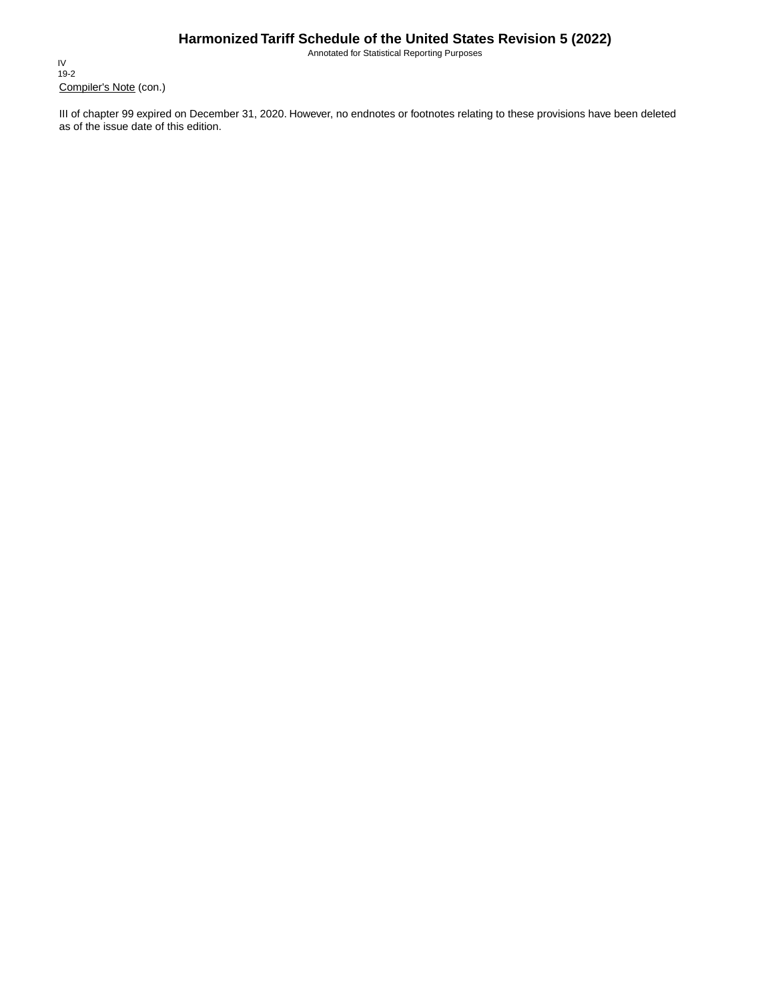Annotated for Statistical Reporting Purposes

Compiler's Note (con.) IV 19-2

III of chapter 99 expired on December 31, 2020. However, no endnotes or footnotes relating to these provisions have been deleted as of the issue date of this edition.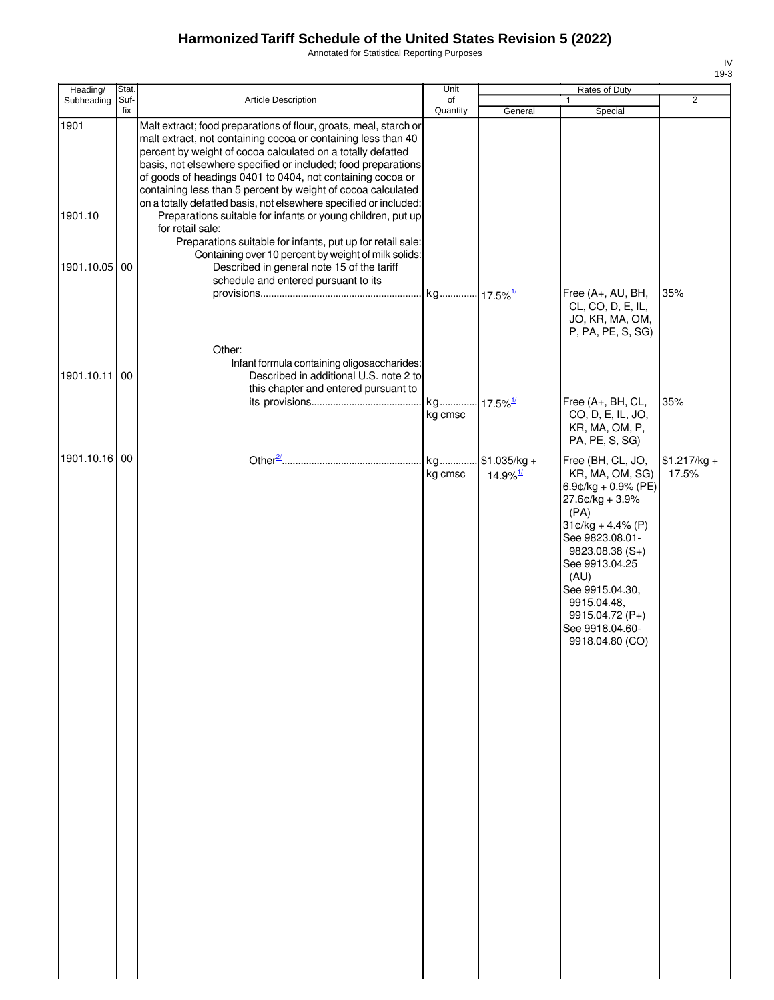Annotated for Statistical Reporting Purposes

| ۰,<br>×<br>۰. |
|---------------|

| Heading/      | Stat. |                                                                                                                                                                                                                                                                                                                                                                                                                                                                       | Unit          |                                         | Rates of Duty                                                                                                                                                                                                                                                               |                        |
|---------------|-------|-----------------------------------------------------------------------------------------------------------------------------------------------------------------------------------------------------------------------------------------------------------------------------------------------------------------------------------------------------------------------------------------------------------------------------------------------------------------------|---------------|-----------------------------------------|-----------------------------------------------------------------------------------------------------------------------------------------------------------------------------------------------------------------------------------------------------------------------------|------------------------|
| Subheading    | Suf-  | <b>Article Description</b>                                                                                                                                                                                                                                                                                                                                                                                                                                            | of            |                                         | 1                                                                                                                                                                                                                                                                           | $\overline{2}$         |
| 1901          | fix   | Malt extract; food preparations of flour, groats, meal, starch or<br>malt extract, not containing cocoa or containing less than 40<br>percent by weight of cocoa calculated on a totally defatted<br>basis, not elsewhere specified or included; food preparations<br>of goods of headings 0401 to 0404, not containing cocoa or<br>containing less than 5 percent by weight of cocoa calculated<br>on a totally defatted basis, not elsewhere specified or included: | Quantity      | General                                 | Special                                                                                                                                                                                                                                                                     |                        |
| 1901.10       |       | Preparations suitable for infants or young children, put up<br>for retail sale:<br>Preparations suitable for infants, put up for retail sale:                                                                                                                                                                                                                                                                                                                         |               |                                         |                                                                                                                                                                                                                                                                             |                        |
| 1901.10.05 00 |       | Containing over 10 percent by weight of milk solids:<br>Described in general note 15 of the tariff<br>schedule and entered pursuant to its                                                                                                                                                                                                                                                                                                                            |               |                                         |                                                                                                                                                                                                                                                                             |                        |
|               |       |                                                                                                                                                                                                                                                                                                                                                                                                                                                                       |               |                                         | Free (A+, AU, BH,<br>CL, CO, D, E, IL,<br>JO, KR, MA, OM,<br>P, PA, PE, S, SG)                                                                                                                                                                                              | 35%                    |
| 1901.10.11    | 00    | Other:<br>Infant formula containing oligosaccharides:<br>Described in additional U.S. note 2 to<br>this chapter and entered pursuant to                                                                                                                                                                                                                                                                                                                               |               |                                         |                                                                                                                                                                                                                                                                             |                        |
|               |       |                                                                                                                                                                                                                                                                                                                                                                                                                                                                       | kg cmsc       | $17.5\%$ <sup>1/</sup>                  | Free (A+, BH, CL,<br>CO, D, E, IL, JO,<br>KR, MA, OM, P,<br>PA, PE, S, SG)                                                                                                                                                                                                  | 35%                    |
| 1901.10.16 00 |       |                                                                                                                                                                                                                                                                                                                                                                                                                                                                       | kg<br>kg cmsc | $$1.035/kg +$<br>$14.9\%$ <sup>1/</sup> | Free (BH, CL, JO,<br>KR, MA, OM, SG)<br>6.9¢/kg + 0.9% (PE)<br>$27.6$ ¢/kg + 3.9%<br>(PA)<br>$31¢/kg + 4.4% (P)$<br>See 9823.08.01-<br>9823.08.38 (S+)<br>See 9913.04.25<br>(AU)<br>See 9915.04.30,<br>9915.04.48,<br>9915.04.72 (P+)<br>See 9918.04.60-<br>9918.04.80 (CO) | $$1.217/kg +$<br>17.5% |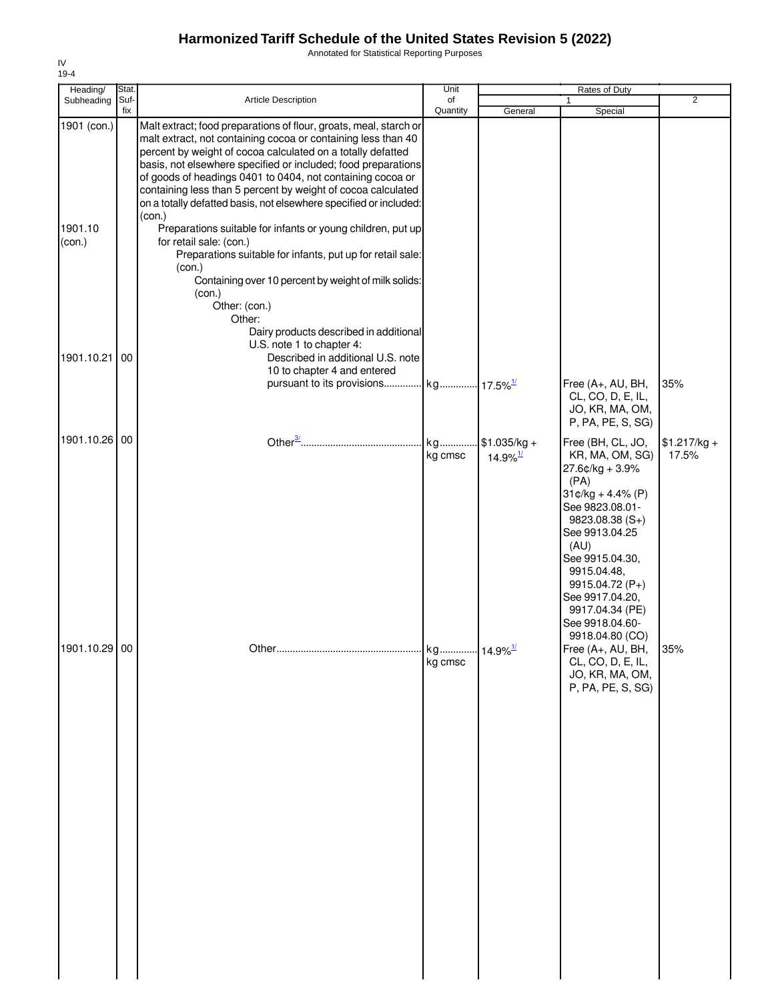Annotated for Statistical Reporting Purposes

| $19-4$                           |               |                                                                                                                                                                                                                                                                                                                                                                                                                                                                                                                                                                                                                                                                                                                                                |               |                                         |                                                                                                                                                                                                                                                                                         |                        |
|----------------------------------|---------------|------------------------------------------------------------------------------------------------------------------------------------------------------------------------------------------------------------------------------------------------------------------------------------------------------------------------------------------------------------------------------------------------------------------------------------------------------------------------------------------------------------------------------------------------------------------------------------------------------------------------------------------------------------------------------------------------------------------------------------------------|---------------|-----------------------------------------|-----------------------------------------------------------------------------------------------------------------------------------------------------------------------------------------------------------------------------------------------------------------------------------------|------------------------|
| Heading/<br>Subheading           | Stat.<br>Suf- | Article Description                                                                                                                                                                                                                                                                                                                                                                                                                                                                                                                                                                                                                                                                                                                            | Unit<br>of    |                                         | Rates of Duty                                                                                                                                                                                                                                                                           | $\overline{2}$         |
|                                  | fix           |                                                                                                                                                                                                                                                                                                                                                                                                                                                                                                                                                                                                                                                                                                                                                | Quantity      | General                                 | Special                                                                                                                                                                                                                                                                                 |                        |
| 1901 (con.)<br>1901.10<br>(con.) |               | Malt extract; food preparations of flour, groats, meal, starch or<br>malt extract, not containing cocoa or containing less than 40<br>percent by weight of cocoa calculated on a totally defatted<br>basis, not elsewhere specified or included; food preparations<br>of goods of headings 0401 to 0404, not containing cocoa or<br>containing less than 5 percent by weight of cocoa calculated<br>on a totally defatted basis, not elsewhere specified or included:<br>(con.)<br>Preparations suitable for infants or young children, put up<br>for retail sale: (con.)<br>Preparations suitable for infants, put up for retail sale:<br>(con.)<br>Containing over 10 percent by weight of milk solids:<br>(con.)<br>Other: (con.)<br>Other: |               |                                         |                                                                                                                                                                                                                                                                                         |                        |
| 1901.10.21                       | 00            | Dairy products described in additional<br>U.S. note 1 to chapter 4:<br>Described in additional U.S. note<br>10 to chapter 4 and entered<br>pursuant to its provisions kg 17.5% <sup>1/</sup>                                                                                                                                                                                                                                                                                                                                                                                                                                                                                                                                                   |               |                                         | Free (A+, AU, BH,                                                                                                                                                                                                                                                                       | 35%                    |
|                                  |               |                                                                                                                                                                                                                                                                                                                                                                                                                                                                                                                                                                                                                                                                                                                                                |               |                                         | CL, CO, D, E, IL,<br>JO, KR, MA, OM,<br>P, PA, PE, S, SG)                                                                                                                                                                                                                               |                        |
| 1901.10.26 00                    |               |                                                                                                                                                                                                                                                                                                                                                                                                                                                                                                                                                                                                                                                                                                                                                | kg<br>kg cmsc | $$1.035/kg +$<br>$14.9\%$ <sup>1/</sup> | Free (BH, CL, JO,<br>KR, MA, OM, SG)<br>27.6¢/kg + 3.9%<br>(PA)<br>$31¢/kg + 4.4% (P)$<br>See 9823.08.01-<br>9823.08.38 (S+)<br>See 9913.04.25<br>(AU)<br>See 9915.04.30,<br>9915.04.48,<br>9915.04.72 (P+)<br>See 9917.04.20,<br>9917.04.34 (PE)<br>See 9918.04.60-<br>9918.04.80 (CO) | $$1.217/kg +$<br>17.5% |
| 1901.10.29 00                    |               |                                                                                                                                                                                                                                                                                                                                                                                                                                                                                                                                                                                                                                                                                                                                                | kg<br>kg cmsc | $14.9\%$ <sup>1/</sup>                  | Free (A+, AU, BH,<br>CL, CO, D, E, IL,<br>JO, KR, MA, OM,<br>P, PA, PE, S, SG)                                                                                                                                                                                                          | 35%                    |

IV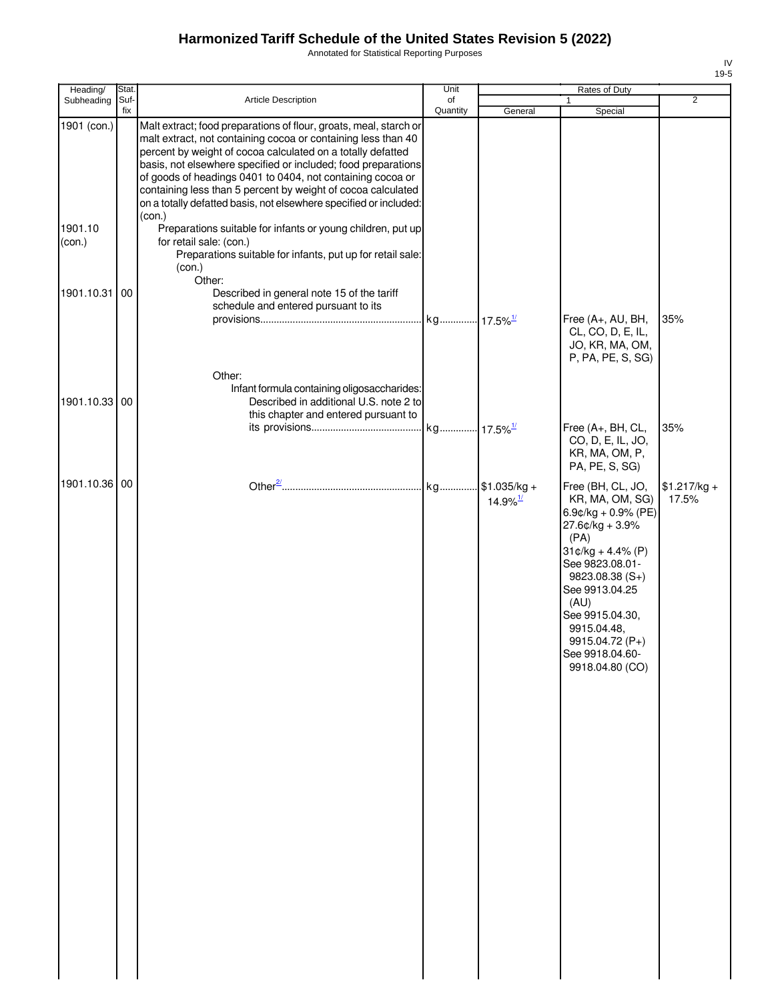Annotated for Statistical Reporting Purposes

| ۰,<br>×<br>۰. |
|---------------|

| Heading/          | Stat.       |                                                                                                                                                                                                                                                                                                                                                                                                                                                                       | Unit           |                                        | Rates of Duty                                                                                                                                                                                                                                                                |                        |
|-------------------|-------------|-----------------------------------------------------------------------------------------------------------------------------------------------------------------------------------------------------------------------------------------------------------------------------------------------------------------------------------------------------------------------------------------------------------------------------------------------------------------------|----------------|----------------------------------------|------------------------------------------------------------------------------------------------------------------------------------------------------------------------------------------------------------------------------------------------------------------------------|------------------------|
| Subheading        | Suf-<br>fix | <b>Article Description</b>                                                                                                                                                                                                                                                                                                                                                                                                                                            | of<br>Quantity | General                                | 1<br>Special                                                                                                                                                                                                                                                                 | $\overline{2}$         |
| 1901 (con.)       |             | Malt extract; food preparations of flour, groats, meal, starch or<br>malt extract, not containing cocoa or containing less than 40<br>percent by weight of cocoa calculated on a totally defatted<br>basis, not elsewhere specified or included; food preparations<br>of goods of headings 0401 to 0404, not containing cocoa or<br>containing less than 5 percent by weight of cocoa calculated<br>on a totally defatted basis, not elsewhere specified or included: |                |                                        |                                                                                                                                                                                                                                                                              |                        |
| 1901.10<br>(con.) |             | (con.)<br>Preparations suitable for infants or young children, put up<br>for retail sale: (con.)<br>Preparations suitable for infants, put up for retail sale:<br>(con.)                                                                                                                                                                                                                                                                                              |                |                                        |                                                                                                                                                                                                                                                                              |                        |
| 1901.10.31        | 00          | Other:<br>Described in general note 15 of the tariff<br>schedule and entered pursuant to its                                                                                                                                                                                                                                                                                                                                                                          |                |                                        | Free (A+, AU, BH,                                                                                                                                                                                                                                                            | 35%                    |
|                   |             | Other:                                                                                                                                                                                                                                                                                                                                                                                                                                                                |                |                                        | CL, CO, D, E, IL,<br>JO, KR, MA, OM,<br>P, PA, PE, S, SG)                                                                                                                                                                                                                    |                        |
| 1901.10.33 00     |             | Infant formula containing oligosaccharides:<br>Described in additional U.S. note 2 to<br>this chapter and entered pursuant to                                                                                                                                                                                                                                                                                                                                         |                |                                        | Free (A+, BH, CL,                                                                                                                                                                                                                                                            | 35%                    |
|                   |             |                                                                                                                                                                                                                                                                                                                                                                                                                                                                       |                |                                        | CO, D, E, IL, JO,<br>KR, MA, OM, P,<br>PA, PE, S, SG)                                                                                                                                                                                                                        |                        |
| 1901.10.36 00     |             |                                                                                                                                                                                                                                                                                                                                                                                                                                                                       |                | $1.035/kg +$<br>$14.9\%$ <sup>1/</sup> | Free (BH, CL, JO,<br>KR, MA, OM, SG)<br>6.9¢/kg + 0.9% (PE)<br>$27.6$ ¢/kg + 3.9%<br>(PA)<br>$31¢/kg + 4.4% (P)$<br>See 9823.08.01-<br>$9823.08.38(S+)$<br>See 9913.04.25<br>(AU)<br>See 9915.04.30,<br>9915.04.48,<br>9915.04.72 (P+)<br>See 9918.04.60-<br>9918.04.80 (CO) | $$1.217/kg +$<br>17.5% |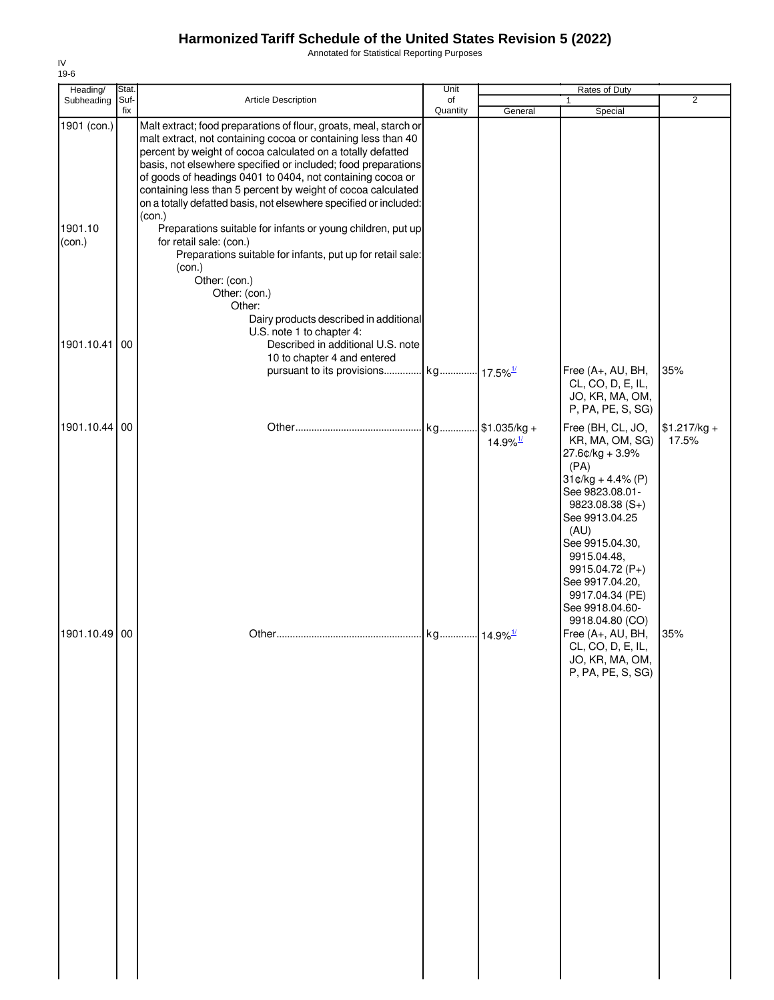Annotated for Statistical Reporting Purposes

| Heading/                         | Stat.       |                                                                                                                                                                                                                                                                                                                                                                                                                                                                                                                                                                                                                                                                                                                                                                      | Unit           |                                         | Rates of Duty                                                                                                                                                                                                                                                                            |                        |
|----------------------------------|-------------|----------------------------------------------------------------------------------------------------------------------------------------------------------------------------------------------------------------------------------------------------------------------------------------------------------------------------------------------------------------------------------------------------------------------------------------------------------------------------------------------------------------------------------------------------------------------------------------------------------------------------------------------------------------------------------------------------------------------------------------------------------------------|----------------|-----------------------------------------|------------------------------------------------------------------------------------------------------------------------------------------------------------------------------------------------------------------------------------------------------------------------------------------|------------------------|
| Subheading                       | Suf-<br>fix | Article Description                                                                                                                                                                                                                                                                                                                                                                                                                                                                                                                                                                                                                                                                                                                                                  | of<br>Quantity | General                                 | 1<br>Special                                                                                                                                                                                                                                                                             | $\overline{2}$         |
| 1901 (con.)<br>1901.10<br>(con.) |             | Malt extract; food preparations of flour, groats, meal, starch or<br>malt extract, not containing cocoa or containing less than 40<br>percent by weight of cocoa calculated on a totally defatted<br>basis, not elsewhere specified or included; food preparations<br>of goods of headings 0401 to 0404, not containing cocoa or<br>containing less than 5 percent by weight of cocoa calculated<br>on a totally defatted basis, not elsewhere specified or included:<br>(con.)<br>Preparations suitable for infants or young children, put up<br>for retail sale: (con.)<br>Preparations suitable for infants, put up for retail sale:<br>(con.)<br>Other: (con.)<br>Other: (con.)<br>Other:<br>Dairy products described in additional<br>U.S. note 1 to chapter 4: |                |                                         |                                                                                                                                                                                                                                                                                          |                        |
| 1901.10.41                       | 00          | Described in additional U.S. note                                                                                                                                                                                                                                                                                                                                                                                                                                                                                                                                                                                                                                                                                                                                    |                |                                         |                                                                                                                                                                                                                                                                                          |                        |
|                                  |             | 10 to chapter 4 and entered                                                                                                                                                                                                                                                                                                                                                                                                                                                                                                                                                                                                                                                                                                                                          |                |                                         |                                                                                                                                                                                                                                                                                          |                        |
|                                  |             | pursuant to its provisions kg 17.5% <sup>1/</sup>                                                                                                                                                                                                                                                                                                                                                                                                                                                                                                                                                                                                                                                                                                                    |                |                                         | Free (A+, AU, BH,<br>CL, CO, D, E, IL,<br>JO, KR, MA, OM,<br>P, PA, PE, S, SG)                                                                                                                                                                                                           | 35%                    |
| 1901.10.44 00                    |             |                                                                                                                                                                                                                                                                                                                                                                                                                                                                                                                                                                                                                                                                                                                                                                      | kg             | $$1.035/kg +$<br>$14.9\%$ <sup>1/</sup> | Free (BH, CL, JO,<br>KR, MA, OM, SG)<br>27.6¢/kg + 3.9%<br>(PA)<br>$31¢/kg + 4.4% (P)$<br>See 9823.08.01-<br>$9823.08.38(S+)$<br>See 9913.04.25<br>(AU)<br>See 9915.04.30,<br>9915.04.48,<br>9915.04.72 (P+)<br>See 9917.04.20,<br>9917.04.34 (PE)<br>See 9918.04.60-<br>9918.04.80 (CO) | $$1.217/kg +$<br>17.5% |
| 1901.10.49 00                    |             |                                                                                                                                                                                                                                                                                                                                                                                                                                                                                                                                                                                                                                                                                                                                                                      |                |                                         | Free (A+, AU, BH,<br>CL, CO, D, E, IL,<br>JO, KR, MA, OM,<br>P, PA, PE, S, SG)                                                                                                                                                                                                           | 35%                    |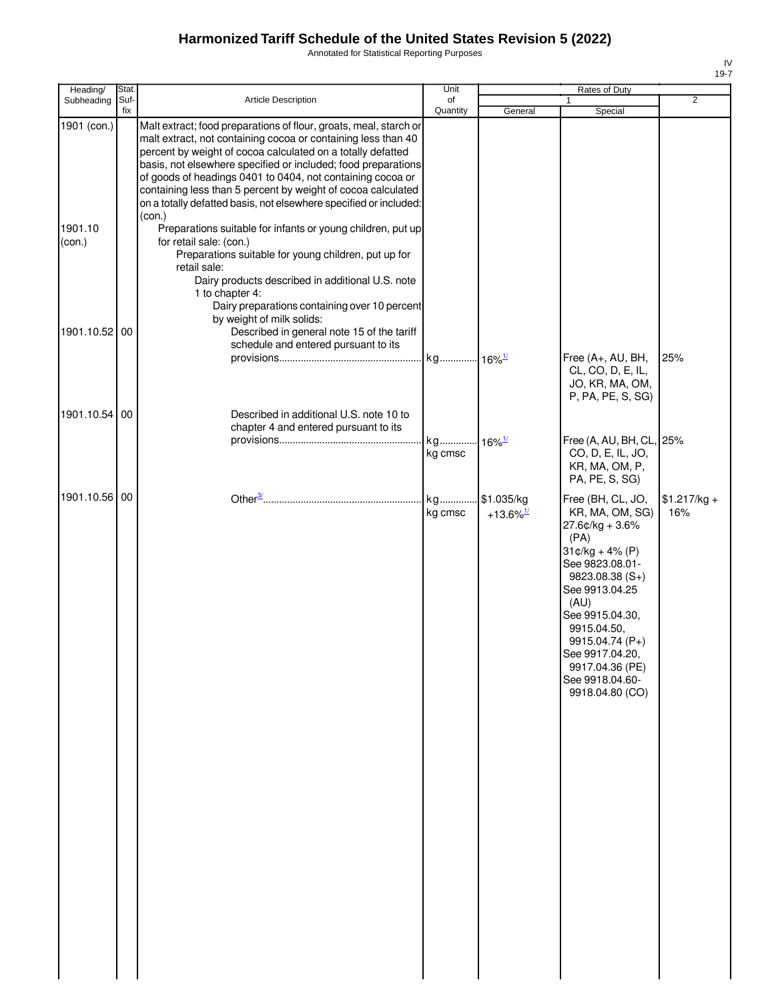Annotated for Statistical Reporting Purposes

| Heading/                         | Stat. |                                                                                                                                                                                                                                                                                                                                                                                                                                                                                                                                                                                                                                                                                                                                                                                                        | Unit                 |                                       | Rates of Duty                                                                                                                                                                                                                                                                            |                      |
|----------------------------------|-------|--------------------------------------------------------------------------------------------------------------------------------------------------------------------------------------------------------------------------------------------------------------------------------------------------------------------------------------------------------------------------------------------------------------------------------------------------------------------------------------------------------------------------------------------------------------------------------------------------------------------------------------------------------------------------------------------------------------------------------------------------------------------------------------------------------|----------------------|---------------------------------------|------------------------------------------------------------------------------------------------------------------------------------------------------------------------------------------------------------------------------------------------------------------------------------------|----------------------|
| Subheading                       | Suf-  | Article Description                                                                                                                                                                                                                                                                                                                                                                                                                                                                                                                                                                                                                                                                                                                                                                                    | of                   |                                       |                                                                                                                                                                                                                                                                                          | $\overline{2}$       |
| 1901 (con.)<br>1901.10<br>(con.) | fix   | Malt extract; food preparations of flour, groats, meal, starch or<br>malt extract, not containing cocoa or containing less than 40<br>percent by weight of cocoa calculated on a totally defatted<br>basis, not elsewhere specified or included; food preparations<br>of goods of headings 0401 to 0404, not containing cocoa or<br>containing less than 5 percent by weight of cocoa calculated<br>on a totally defatted basis, not elsewhere specified or included:<br>(con.)<br>Preparations suitable for infants or young children, put up<br>for retail sale: (con.)<br>Preparations suitable for young children, put up for<br>retail sale:<br>Dairy products described in additional U.S. note<br>1 to chapter 4:<br>Dairy preparations containing over 10 percent<br>by weight of milk solids: | Quantity             | General                               | Special                                                                                                                                                                                                                                                                                  |                      |
| 1901.10.52 00                    |       | Described in general note 15 of the tariff<br>schedule and entered pursuant to its                                                                                                                                                                                                                                                                                                                                                                                                                                                                                                                                                                                                                                                                                                                     | kg 16% <sup>1/</sup> |                                       | Free (A+, AU, BH,<br>CL, CO, D, E, IL,<br>JO, KR, MA, OM,<br>P, PA, PE, S, SG)                                                                                                                                                                                                           | 25%                  |
| 1901.10.54 00                    |       | Described in additional U.S. note 10 to<br>chapter 4 and entered pursuant to its                                                                                                                                                                                                                                                                                                                                                                                                                                                                                                                                                                                                                                                                                                                       | kg<br>kg cmsc        | $16\%$ <sup>1/</sup>                  | Free (A, AU, BH, CL, 25%<br>CO, D, E, IL, JO,<br>KR, MA, OM, P,<br>PA, PE, S, SG)                                                                                                                                                                                                        |                      |
| 1901.10.56 00                    |       |                                                                                                                                                                                                                                                                                                                                                                                                                                                                                                                                                                                                                                                                                                                                                                                                        | kg<br>kg cmsc        | \$1.035/kg<br>$+13.6\%$ <sup>1/</sup> | Free (BH, CL, JO,<br>KR, MA, OM, SG)<br>$27.6$ ¢/kg + 3.6%<br>(PA)<br>$31¢/kg + 4% (P)$<br>See 9823.08.01-<br>9823.08.38 (S+)<br>See 9913.04.25<br>(AU)<br>See 9915.04.30,<br>9915.04.50,<br>9915.04.74 (P+)<br>See 9917.04.20,<br>9917.04.36 (PE)<br>See 9918.04.60-<br>9918.04.80 (CO) | $$1.217/kg +$<br>16% |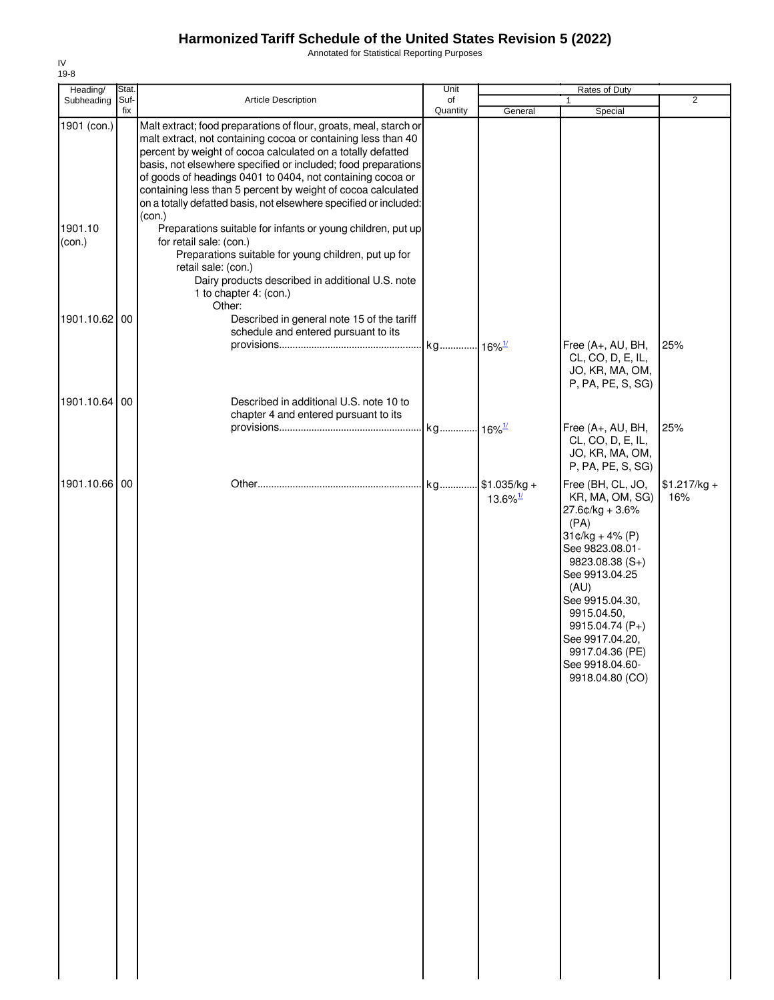Annotated for Statistical Reporting Purposes

| Heading/                         | Stat.       |                                                                                                                                                                                                                                                                                                                                                                                                                                                                                                                                                                                                                                                                                                                                        | Unit           |                                            | Rates of Duty                                                                                                                                                                                                                                                                             |                      |
|----------------------------------|-------------|----------------------------------------------------------------------------------------------------------------------------------------------------------------------------------------------------------------------------------------------------------------------------------------------------------------------------------------------------------------------------------------------------------------------------------------------------------------------------------------------------------------------------------------------------------------------------------------------------------------------------------------------------------------------------------------------------------------------------------------|----------------|--------------------------------------------|-------------------------------------------------------------------------------------------------------------------------------------------------------------------------------------------------------------------------------------------------------------------------------------------|----------------------|
| Subheading                       | Suf-<br>fix | Article Description                                                                                                                                                                                                                                                                                                                                                                                                                                                                                                                                                                                                                                                                                                                    | of<br>Quantity | General                                    | $\mathbf{1}$<br>Special                                                                                                                                                                                                                                                                   | 2                    |
| 1901 (con.)<br>1901.10<br>(con.) |             | Malt extract; food preparations of flour, groats, meal, starch or<br>malt extract, not containing cocoa or containing less than 40<br>percent by weight of cocoa calculated on a totally defatted<br>basis, not elsewhere specified or included; food preparations<br>of goods of headings 0401 to 0404, not containing cocoa or<br>containing less than 5 percent by weight of cocoa calculated<br>on a totally defatted basis, not elsewhere specified or included:<br>(con.)<br>Preparations suitable for infants or young children, put up<br>for retail sale: (con.)<br>Preparations suitable for young children, put up for<br>retail sale: (con.)<br>Dairy products described in additional U.S. note<br>1 to chapter 4: (con.) |                |                                            |                                                                                                                                                                                                                                                                                           |                      |
| 1901.10.62 00                    |             | Other:<br>Described in general note 15 of the tariff<br>schedule and entered pursuant to its                                                                                                                                                                                                                                                                                                                                                                                                                                                                                                                                                                                                                                           |                |                                            | Free (A+, AU, BH,<br>CL, CO, D, E, IL,<br>JO, KR, MA, OM,                                                                                                                                                                                                                                 | 25%                  |
| 1901.10.64 00                    |             | Described in additional U.S. note 10 to<br>chapter 4 and entered pursuant to its                                                                                                                                                                                                                                                                                                                                                                                                                                                                                                                                                                                                                                                       |                |                                            | P, PA, PE, S, SG)<br>Free (A+, AU, BH,<br>CL, CO, D, E, IL,<br>JO, KR, MA, OM,<br>P, PA, PE, S, SG)                                                                                                                                                                                       | 25%                  |
| 1901.10.66 00                    |             |                                                                                                                                                                                                                                                                                                                                                                                                                                                                                                                                                                                                                                                                                                                                        |                | $.$ \$1.035/kg +<br>$13.6\%$ <sup>1/</sup> | Free (BH, CL, JO,<br>KR, MA, OM, SG)<br>$27.6$ ¢/kg + 3.6%<br>(PA)<br>$31¢/kg + 4% (P)$<br>See 9823.08.01-<br>$9823.08.38(S+)$<br>See 9913.04.25<br>(AU)<br>See 9915.04.30,<br>9915.04.50,<br>9915.04.74 (P+)<br>See 9917.04.20,<br>9917.04.36 (PE)<br>See 9918.04.60-<br>9918.04.80 (CO) | $$1.217/kg +$<br>16% |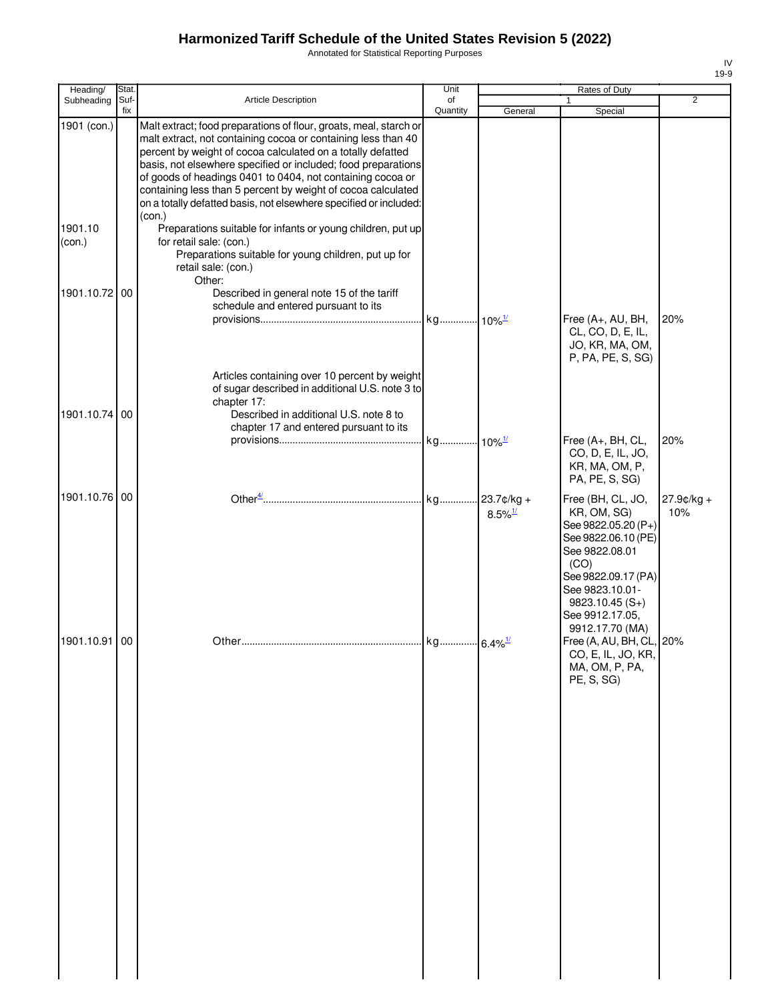Annotated for Statistical Reporting Purposes

| Heading/               | Stat. |                                                                                                                                                                                                                                                                                                                                                                                                                                                                                                                                                | Unit     |                       | Rates of Duty                                                                                                                                               |                      |
|------------------------|-------|------------------------------------------------------------------------------------------------------------------------------------------------------------------------------------------------------------------------------------------------------------------------------------------------------------------------------------------------------------------------------------------------------------------------------------------------------------------------------------------------------------------------------------------------|----------|-----------------------|-------------------------------------------------------------------------------------------------------------------------------------------------------------|----------------------|
| Subheading             | Suf-  | Article Description                                                                                                                                                                                                                                                                                                                                                                                                                                                                                                                            | of       |                       |                                                                                                                                                             | $\overline{2}$       |
| 1901 (con.)<br>1901.10 | fix   | Malt extract; food preparations of flour, groats, meal, starch or<br>malt extract, not containing cocoa or containing less than 40<br>percent by weight of cocoa calculated on a totally defatted<br>basis, not elsewhere specified or included; food preparations<br>of goods of headings 0401 to 0404, not containing cocoa or<br>containing less than 5 percent by weight of cocoa calculated<br>on a totally defatted basis, not elsewhere specified or included:<br>(con.)<br>Preparations suitable for infants or young children, put up | Quantity | General               | Special                                                                                                                                                     |                      |
| (con.)                 |       | for retail sale: (con.)<br>Preparations suitable for young children, put up for<br>retail sale: (con.)<br>Other:                                                                                                                                                                                                                                                                                                                                                                                                                               |          |                       |                                                                                                                                                             |                      |
| 1901.10.72 00          |       | Described in general note 15 of the tariff<br>schedule and entered pursuant to its                                                                                                                                                                                                                                                                                                                                                                                                                                                             |          |                       | Free (A+, AU, BH,<br>CL, CO, D, E, IL,<br>JO, KR, MA, OM,<br>P, PA, PE, S, SG)                                                                              | 20%                  |
| 1901.10.74 00          |       | Articles containing over 10 percent by weight<br>of sugar described in additional U.S. note 3 to<br>chapter 17:<br>Described in additional U.S. note 8 to<br>chapter 17 and entered pursuant to its                                                                                                                                                                                                                                                                                                                                            |          |                       | Free (A+, BH, CL,<br>CO, D, E, IL, JO,<br>KR, MA, OM, P,                                                                                                    | 20%                  |
| 1901.10.76 00          |       |                                                                                                                                                                                                                                                                                                                                                                                                                                                                                                                                                |          | $8.5\%$ <sup>1/</sup> | PA, PE, S, SG)<br>Free (BH, CL, JO,<br>KR, OM, SG)<br>See 9822.05.20 (P+)<br>See 9822.06.10 (PE)<br>See 9822.08.01<br>(CO)<br>See 9822.09.17 (PA)           | $27.9$ ¢/kg +<br>10% |
| 1901.10.91 00          |       |                                                                                                                                                                                                                                                                                                                                                                                                                                                                                                                                                |          |                       | See 9823.10.01-<br>$9823.10.45(S+)$<br>See 9912.17.05,<br>9912.17.70 (MA)<br>Free (A, AU, BH, CL, 20%<br>CO, E, IL, JO, KR,<br>MA, OM, P, PA,<br>PE, S, SG) |                      |
|                        |       |                                                                                                                                                                                                                                                                                                                                                                                                                                                                                                                                                |          |                       |                                                                                                                                                             |                      |
|                        |       |                                                                                                                                                                                                                                                                                                                                                                                                                                                                                                                                                |          |                       |                                                                                                                                                             |                      |
|                        |       |                                                                                                                                                                                                                                                                                                                                                                                                                                                                                                                                                |          |                       |                                                                                                                                                             |                      |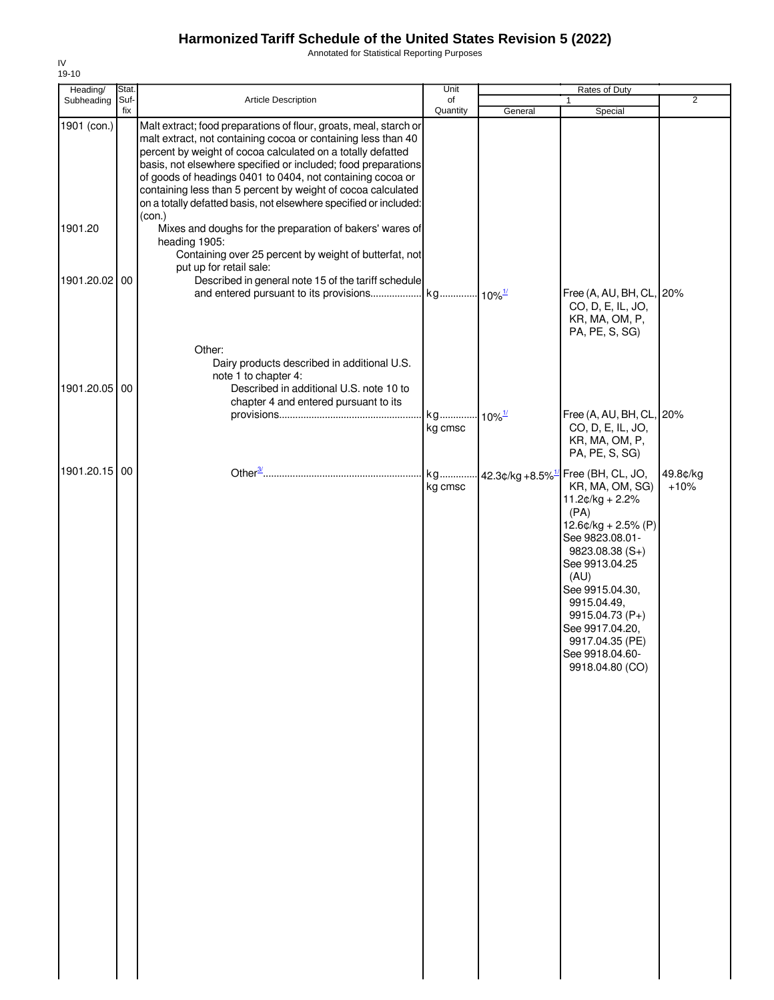Annotated for Statistical Reporting Purposes

| Heading/      | Stat. |                                                                                                                              | Unit     |                      | <b>Rates of Duty</b>                           |                |
|---------------|-------|------------------------------------------------------------------------------------------------------------------------------|----------|----------------------|------------------------------------------------|----------------|
| Subheading    | Suf-  | <b>Article Description</b>                                                                                                   | of       |                      | 1                                              | $\overline{2}$ |
| 1901 (con.)   | fix   | Malt extract; food preparations of flour, groats, meal, starch or                                                            | Quantity | General              | Special                                        |                |
|               |       | malt extract, not containing cocoa or containing less than 40<br>percent by weight of cocoa calculated on a totally defatted |          |                      |                                                |                |
|               |       | basis, not elsewhere specified or included; food preparations                                                                |          |                      |                                                |                |
|               |       | of goods of headings 0401 to 0404, not containing cocoa or                                                                   |          |                      |                                                |                |
|               |       | containing less than 5 percent by weight of cocoa calculated                                                                 |          |                      |                                                |                |
|               |       | on a totally defatted basis, not elsewhere specified or included:                                                            |          |                      |                                                |                |
|               |       | (con.)                                                                                                                       |          |                      |                                                |                |
| 1901.20       |       | Mixes and doughs for the preparation of bakers' wares of<br>heading 1905:                                                    |          |                      |                                                |                |
|               |       | Containing over 25 percent by weight of butterfat, not                                                                       |          |                      |                                                |                |
|               |       | put up for retail sale:                                                                                                      |          |                      |                                                |                |
| 1901.20.02 00 |       | Described in general note 15 of the tariff schedule                                                                          |          |                      |                                                |                |
|               |       |                                                                                                                              |          |                      | Free (A, AU, BH, CL, 20%                       |                |
|               |       |                                                                                                                              |          |                      | CO, D, E, IL, JO,                              |                |
|               |       |                                                                                                                              |          |                      | KR, MA, OM, P,                                 |                |
|               |       |                                                                                                                              |          |                      | PA, PE, S, SG)                                 |                |
|               |       | Other:                                                                                                                       |          |                      |                                                |                |
|               |       | Dairy products described in additional U.S.                                                                                  |          |                      |                                                |                |
| 1901.20.05 00 |       | note 1 to chapter 4:<br>Described in additional U.S. note 10 to                                                              |          |                      |                                                |                |
|               |       | chapter 4 and entered pursuant to its                                                                                        |          |                      |                                                |                |
|               |       |                                                                                                                              | kg       | $10\%$ <sup>1/</sup> | Free (A, AU, BH, CL, 20%                       |                |
|               |       |                                                                                                                              | kg cmsc  |                      | CO, D, E, IL, JO,                              |                |
|               |       |                                                                                                                              |          |                      | KR, MA, OM, P,                                 |                |
|               |       |                                                                                                                              |          |                      | PA, PE, S, SG)                                 |                |
| 1901.20.15 00 |       |                                                                                                                              | kg       |                      | 42.3¢/kg +8.5% <sup>1/</sup> Free (BH, CL, JO, | 49.8¢/kg       |
|               |       |                                                                                                                              | kg cmsc  |                      | KR, MA, OM, SG)                                | $+10%$         |
|               |       |                                                                                                                              |          |                      | $11.2¢/kg + 2.2%$                              |                |
|               |       |                                                                                                                              |          |                      | (PA)<br>$12.6$ ¢/kg + 2.5% (P)                 |                |
|               |       |                                                                                                                              |          |                      | See 9823.08.01-                                |                |
|               |       |                                                                                                                              |          |                      | 9823.08.38 (S+)                                |                |
|               |       |                                                                                                                              |          |                      | See 9913.04.25                                 |                |
|               |       |                                                                                                                              |          |                      | (AU)                                           |                |
|               |       |                                                                                                                              |          |                      | See 9915.04.30,                                |                |
|               |       |                                                                                                                              |          |                      | 9915.04.49,                                    |                |
|               |       |                                                                                                                              |          |                      | 9915.04.73 (P+)<br>See 9917.04.20,             |                |
|               |       |                                                                                                                              |          |                      | 9917.04.35 (PE)                                |                |
|               |       |                                                                                                                              |          |                      | See 9918.04.60-                                |                |
|               |       |                                                                                                                              |          |                      | 9918.04.80 (CO)                                |                |
|               |       |                                                                                                                              |          |                      |                                                |                |
|               |       |                                                                                                                              |          |                      |                                                |                |
|               |       |                                                                                                                              |          |                      |                                                |                |
|               |       |                                                                                                                              |          |                      |                                                |                |
|               |       |                                                                                                                              |          |                      |                                                |                |
|               |       |                                                                                                                              |          |                      |                                                |                |
|               |       |                                                                                                                              |          |                      |                                                |                |
|               |       |                                                                                                                              |          |                      |                                                |                |
|               |       |                                                                                                                              |          |                      |                                                |                |
|               |       |                                                                                                                              |          |                      |                                                |                |
|               |       |                                                                                                                              |          |                      |                                                |                |
|               |       |                                                                                                                              |          |                      |                                                |                |
|               |       |                                                                                                                              |          |                      |                                                |                |
|               |       |                                                                                                                              |          |                      |                                                |                |
|               |       |                                                                                                                              |          |                      |                                                |                |
|               |       |                                                                                                                              |          |                      |                                                |                |
|               |       |                                                                                                                              |          |                      |                                                |                |
|               |       |                                                                                                                              |          |                      |                                                |                |
|               |       |                                                                                                                              |          |                      |                                                |                |
|               |       |                                                                                                                              |          |                      |                                                |                |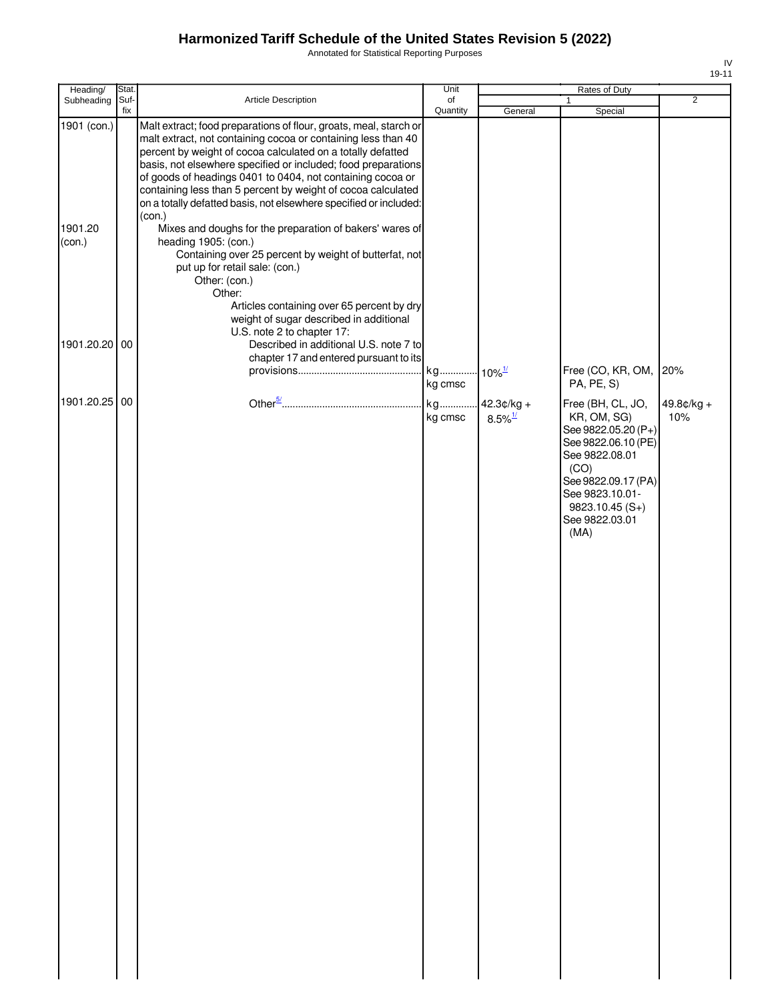Annotated for Statistical Reporting Purposes

| Heading/                         | Stat.       |                                                                                                                                                                                                                                                                                                                                                                                                                                                                                                                                                                                                                                                                                                                                                                                                                   | Unit           |                                        | Rates of Duty                                                                                                                                                                                    |                     |
|----------------------------------|-------------|-------------------------------------------------------------------------------------------------------------------------------------------------------------------------------------------------------------------------------------------------------------------------------------------------------------------------------------------------------------------------------------------------------------------------------------------------------------------------------------------------------------------------------------------------------------------------------------------------------------------------------------------------------------------------------------------------------------------------------------------------------------------------------------------------------------------|----------------|----------------------------------------|--------------------------------------------------------------------------------------------------------------------------------------------------------------------------------------------------|---------------------|
| Subheading                       | Suf-<br>fix | Article Description                                                                                                                                                                                                                                                                                                                                                                                                                                                                                                                                                                                                                                                                                                                                                                                               | of<br>Quantity | General                                | $\mathbf{1}$<br>Special                                                                                                                                                                          | $\overline{2}$      |
| 1901 (con.)<br>1901.20<br>(con.) |             | Malt extract; food preparations of flour, groats, meal, starch or<br>malt extract, not containing cocoa or containing less than 40<br>percent by weight of cocoa calculated on a totally defatted<br>basis, not elsewhere specified or included; food preparations<br>of goods of headings 0401 to 0404, not containing cocoa or<br>containing less than 5 percent by weight of cocoa calculated<br>on a totally defatted basis, not elsewhere specified or included:<br>(con.)<br>Mixes and doughs for the preparation of bakers' wares of<br>heading 1905: (con.)<br>Containing over 25 percent by weight of butterfat, not<br>put up for retail sale: (con.)<br>Other: (con.)<br>Other:<br>Articles containing over 65 percent by dry<br>weight of sugar described in additional<br>U.S. note 2 to chapter 17: |                |                                        |                                                                                                                                                                                                  |                     |
| 1901.20.20                       | 00          | Described in additional U.S. note 7 to                                                                                                                                                                                                                                                                                                                                                                                                                                                                                                                                                                                                                                                                                                                                                                            |                |                                        |                                                                                                                                                                                                  |                     |
|                                  |             | chapter 17 and entered pursuant to its                                                                                                                                                                                                                                                                                                                                                                                                                                                                                                                                                                                                                                                                                                                                                                            | kg cmsc        |                                        | Free (CO, KR, OM,<br>PA, PE, S)                                                                                                                                                                  | 20%                 |
| 1901.20.25                       | 00          |                                                                                                                                                                                                                                                                                                                                                                                                                                                                                                                                                                                                                                                                                                                                                                                                                   | kg<br>kg cmsc  | $.42.3¢/kg +$<br>$8.5\%$ <sup>1/</sup> | Free (BH, CL, JO,<br>KR, OM, SG)<br>See 9822.05.20 (P+)<br>See 9822.06.10 (PE)<br>See 9822.08.01<br>(CO)<br>See 9822.09.17 (PA)<br>See 9823.10.01-<br>$9823.10.45(S+)$<br>See 9822.03.01<br>(MA) | $49.8¢/kg +$<br>10% |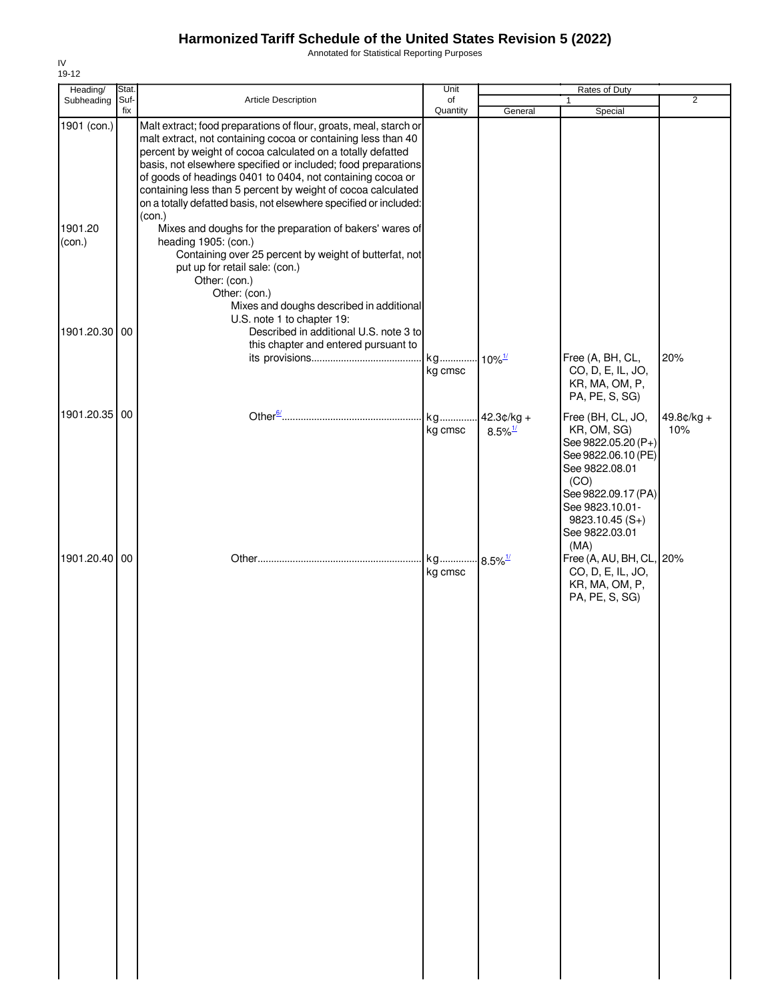Annotated for Statistical Reporting Purposes

| Heading/                                          | Stat.       |                                                                                                                                                                                                                                                                                                                                                                                                                                                                                                                                                                                                                                                                                                                                                                                                                                                               | Unit           |                                       | Rates of Duty                                                                                                                                                                                    |                     |
|---------------------------------------------------|-------------|---------------------------------------------------------------------------------------------------------------------------------------------------------------------------------------------------------------------------------------------------------------------------------------------------------------------------------------------------------------------------------------------------------------------------------------------------------------------------------------------------------------------------------------------------------------------------------------------------------------------------------------------------------------------------------------------------------------------------------------------------------------------------------------------------------------------------------------------------------------|----------------|---------------------------------------|--------------------------------------------------------------------------------------------------------------------------------------------------------------------------------------------------|---------------------|
| Subheading                                        | Suf-<br>fix | Article Description                                                                                                                                                                                                                                                                                                                                                                                                                                                                                                                                                                                                                                                                                                                                                                                                                                           | of<br>Quantity | General                               | 1<br>Special                                                                                                                                                                                     | $\overline{2}$      |
| 1901 (con.)<br>1901.20<br>(con.)<br>1901.20.30 00 |             | Malt extract; food preparations of flour, groats, meal, starch or<br>malt extract, not containing cocoa or containing less than 40<br>percent by weight of cocoa calculated on a totally defatted<br>basis, not elsewhere specified or included; food preparations<br>of goods of headings 0401 to 0404, not containing cocoa or<br>containing less than 5 percent by weight of cocoa calculated<br>on a totally defatted basis, not elsewhere specified or included:<br>(con.)<br>Mixes and doughs for the preparation of bakers' wares of<br>heading 1905: (con.)<br>Containing over 25 percent by weight of butterfat, not<br>put up for retail sale: (con.)<br>Other: (con.)<br>Other: (con.)<br>Mixes and doughs described in additional<br>U.S. note 1 to chapter 19:<br>Described in additional U.S. note 3 to<br>this chapter and entered pursuant to |                |                                       |                                                                                                                                                                                                  |                     |
|                                                   |             |                                                                                                                                                                                                                                                                                                                                                                                                                                                                                                                                                                                                                                                                                                                                                                                                                                                               | kg<br>kg cmsc  | $-10\%$ <sup>1/</sup>                 | Free (A, BH, CL,<br>CO, D, E, IL, JO,<br>KR, MA, OM, P,<br>PA, PE, S, SG)                                                                                                                        | 20%                 |
| 1901.20.35 00                                     |             |                                                                                                                                                                                                                                                                                                                                                                                                                                                                                                                                                                                                                                                                                                                                                                                                                                                               | kg<br>kg cmsc  | $42.3¢/kg +$<br>$8.5\%$ <sup>1/</sup> | Free (BH, CL, JO,<br>KR, OM, SG)<br>See 9822.05.20 (P+)<br>See 9822.06.10 (PE)<br>See 9822.08.01<br>(CO)<br>See 9822.09.17 (PA)<br>See 9823.10.01-<br>$9823.10.45(S+)$<br>See 9822.03.01<br>(MA) | $49.8¢/kg +$<br>10% |
| 1901.20.40 00                                     |             |                                                                                                                                                                                                                                                                                                                                                                                                                                                                                                                                                                                                                                                                                                                                                                                                                                                               | kg<br>kg cmsc  | $8.5\%$ <sup>1/</sup>                 | Free (A, AU, BH, CL, 20%<br>CO, D, E, IL, JO,<br>KR, MA, OM, P,<br>PA, PE, S, SG)                                                                                                                |                     |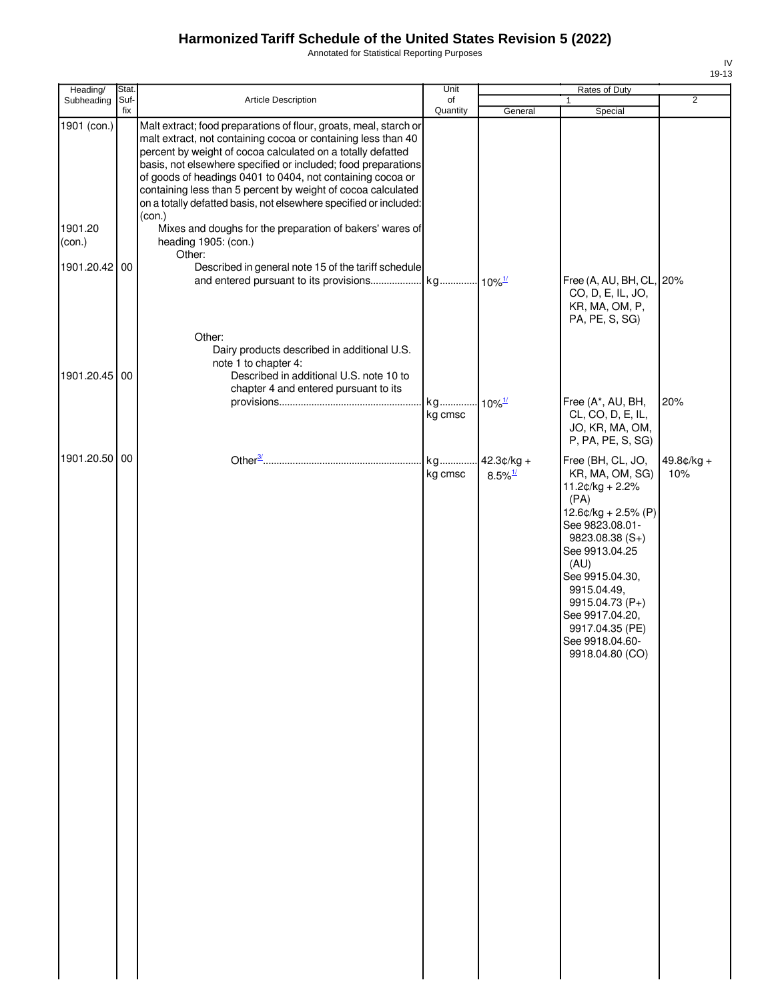Annotated for Statistical Reporting Purposes

| Heading/          | Stat.       |                                                                                                                                                                                                                                                                                                                                                                                                                                                                                 | Unit           |                                       | Rates of Duty                                                                                                                                                                                                                                                                                 |                     |
|-------------------|-------------|---------------------------------------------------------------------------------------------------------------------------------------------------------------------------------------------------------------------------------------------------------------------------------------------------------------------------------------------------------------------------------------------------------------------------------------------------------------------------------|----------------|---------------------------------------|-----------------------------------------------------------------------------------------------------------------------------------------------------------------------------------------------------------------------------------------------------------------------------------------------|---------------------|
| Subheading        | Suf-<br>fix | Article Description                                                                                                                                                                                                                                                                                                                                                                                                                                                             | of<br>Quantity | General                               | 1<br>Special                                                                                                                                                                                                                                                                                  | $\overline{2}$      |
| 1901 (con.)       |             | Malt extract; food preparations of flour, groats, meal, starch or<br>malt extract, not containing cocoa or containing less than 40<br>percent by weight of cocoa calculated on a totally defatted<br>basis, not elsewhere specified or included; food preparations<br>of goods of headings 0401 to 0404, not containing cocoa or<br>containing less than 5 percent by weight of cocoa calculated<br>on a totally defatted basis, not elsewhere specified or included:<br>(con.) |                |                                       |                                                                                                                                                                                                                                                                                               |                     |
| 1901.20<br>(con.) |             | Mixes and doughs for the preparation of bakers' wares of<br>heading 1905: (con.)<br>Other:                                                                                                                                                                                                                                                                                                                                                                                      |                |                                       |                                                                                                                                                                                                                                                                                               |                     |
| 1901.20.42 00     |             | Described in general note 15 of the tariff schedule                                                                                                                                                                                                                                                                                                                                                                                                                             |                |                                       | Free (A, AU, BH, CL, 20%<br>CO, D, E, IL, JO,<br>KR, MA, OM, P,<br>PA, PE, S, SG)                                                                                                                                                                                                             |                     |
| 1901.20.45 00     |             | Other:<br>Dairy products described in additional U.S.<br>note 1 to chapter 4:<br>Described in additional U.S. note 10 to<br>chapter 4 and entered pursuant to its                                                                                                                                                                                                                                                                                                               | kg             | $10\%$ <sup>1/</sup>                  | Free (A*, AU, BH,                                                                                                                                                                                                                                                                             | 20%                 |
|                   |             |                                                                                                                                                                                                                                                                                                                                                                                                                                                                                 | kg cmsc        |                                       | CL, CO, D, E, IL,<br>JO, KR, MA, OM,<br>P, PA, PE, S, SG)                                                                                                                                                                                                                                     |                     |
| 1901.20.50 00     |             |                                                                                                                                                                                                                                                                                                                                                                                                                                                                                 | kg<br>kg cmsc  | $42.3¢/kg +$<br>$8.5\%$ <sup>1/</sup> | Free (BH, CL, JO,<br>KR, MA, OM, SG)<br>$11.2¢/kg + 2.2%$<br>(PA)<br>$12.6$ ¢/kg + 2.5% (P)<br>See 9823.08.01-<br>$9823.08.38(S+)$<br>See 9913.04.25<br>(AU)<br>See 9915.04.30,<br>9915.04.49,<br>9915.04.73 (P+)<br>See 9917.04.20,<br>9917.04.35 (PE)<br>See 9918.04.60-<br>9918.04.80 (CO) | $49.8¢/kg +$<br>10% |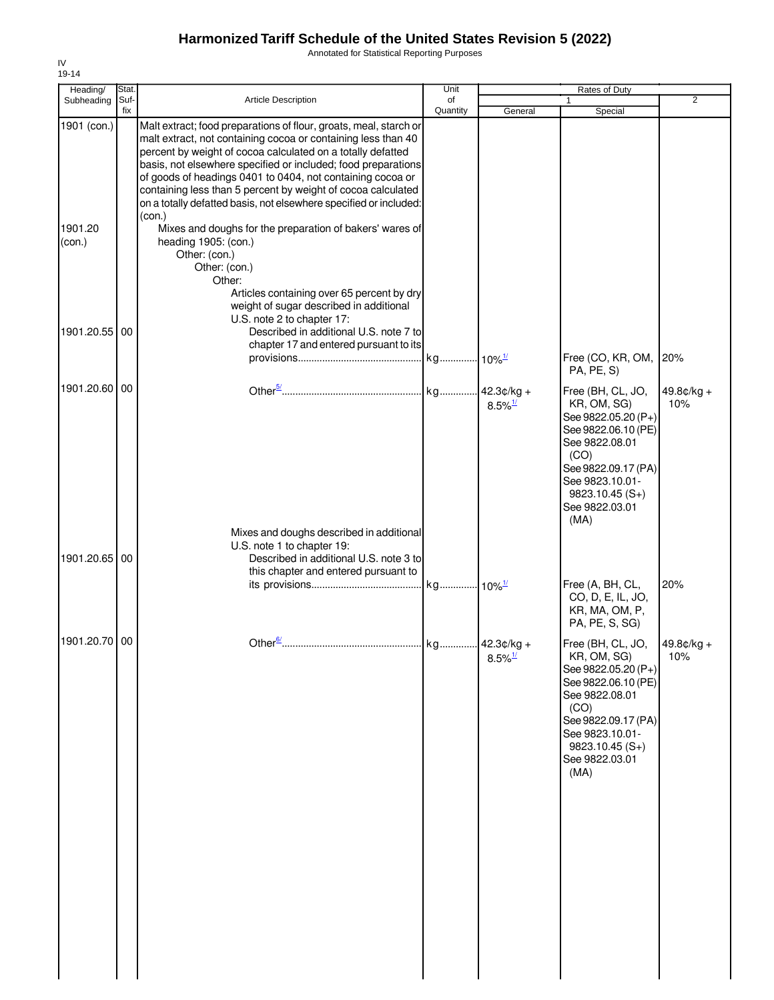Annotated for Statistical Reporting Purposes

| Heading/                         | Stat.       |                                                                                                                                                                                                                                                                                                                                                                                                                                                                                                                                                                                                                                                                                                          | Unit           |                                     | Rates of Duty                                                                                                                                                                                                                       |                     |
|----------------------------------|-------------|----------------------------------------------------------------------------------------------------------------------------------------------------------------------------------------------------------------------------------------------------------------------------------------------------------------------------------------------------------------------------------------------------------------------------------------------------------------------------------------------------------------------------------------------------------------------------------------------------------------------------------------------------------------------------------------------------------|----------------|-------------------------------------|-------------------------------------------------------------------------------------------------------------------------------------------------------------------------------------------------------------------------------------|---------------------|
| Subheading                       | Suf-<br>fix | <b>Article Description</b>                                                                                                                                                                                                                                                                                                                                                                                                                                                                                                                                                                                                                                                                               | of<br>Quantity | General                             | 1<br>Special                                                                                                                                                                                                                        | $\overline{2}$      |
| 1901 (con.)<br>1901.20<br>(con.) |             | Malt extract; food preparations of flour, groats, meal, starch or<br>malt extract, not containing cocoa or containing less than 40<br>percent by weight of cocoa calculated on a totally defatted<br>basis, not elsewhere specified or included; food preparations<br>of goods of headings 0401 to 0404, not containing cocoa or<br>containing less than 5 percent by weight of cocoa calculated<br>on a totally defatted basis, not elsewhere specified or included:<br>(con.)<br>Mixes and doughs for the preparation of bakers' wares of<br>heading 1905: (con.)<br>Other: (con.)<br>Other: (con.)<br>Other:<br>Articles containing over 65 percent by dry<br>weight of sugar described in additional |                |                                     |                                                                                                                                                                                                                                     |                     |
| 1901.20.55 00                    |             | U.S. note 2 to chapter 17:<br>Described in additional U.S. note 7 to                                                                                                                                                                                                                                                                                                                                                                                                                                                                                                                                                                                                                                     |                |                                     |                                                                                                                                                                                                                                     |                     |
|                                  |             | chapter 17 and entered pursuant to its                                                                                                                                                                                                                                                                                                                                                                                                                                                                                                                                                                                                                                                                   |                |                                     | Free (CO, KR, OM,<br>PA, PE, S)                                                                                                                                                                                                     | 20%                 |
| 1901.20.60 00                    |             |                                                                                                                                                                                                                                                                                                                                                                                                                                                                                                                                                                                                                                                                                                          |                | $8.5\%$ <sup>1/</sup>               | Free (BH, CL, JO,<br>KR, OM, SG)<br>See 9822.05.20 (P+)<br>See 9822.06.10 (PE)<br>See 9822.08.01<br>(CO)<br>See 9822.09.17 (PA)<br>See 9823.10.01-<br>$9823.10.45(S+)$<br>See 9822.03.01<br>(MA)                                    | $49.8¢/kg +$<br>10% |
|                                  |             | Mixes and doughs described in additional<br>U.S. note 1 to chapter 19:                                                                                                                                                                                                                                                                                                                                                                                                                                                                                                                                                                                                                                   |                |                                     |                                                                                                                                                                                                                                     |                     |
| 1901.20.65 00                    |             | Described in additional U.S. note 3 to<br>this chapter and entered pursuant to                                                                                                                                                                                                                                                                                                                                                                                                                                                                                                                                                                                                                           |                |                                     | Free (A, BH, CL,<br>CO, D, E, IL, JO,<br>KR, MA, OM, P,<br>PA, PE, S, SG)                                                                                                                                                           | 20%                 |
| 1901.20.70 00                    |             | Other <sup>6/</sup>                                                                                                                                                                                                                                                                                                                                                                                                                                                                                                                                                                                                                                                                                      | kg.            | 42.3¢/kg +<br>$8.5\%$ <sup>1/</sup> | Free (BH, CL, JO, $\left  \right.49.8 \text{c/ka} +$<br>KR, OM, SG)<br>See 9822.05.20 (P+)<br>See 9822.06.10 (PE)<br>See 9822.08.01<br>(CO)<br>See 9822.09.17 (PA)<br>See 9823.10.01-<br>$9823.10.45(S+)$<br>See 9822.03.01<br>(MA) | 10%                 |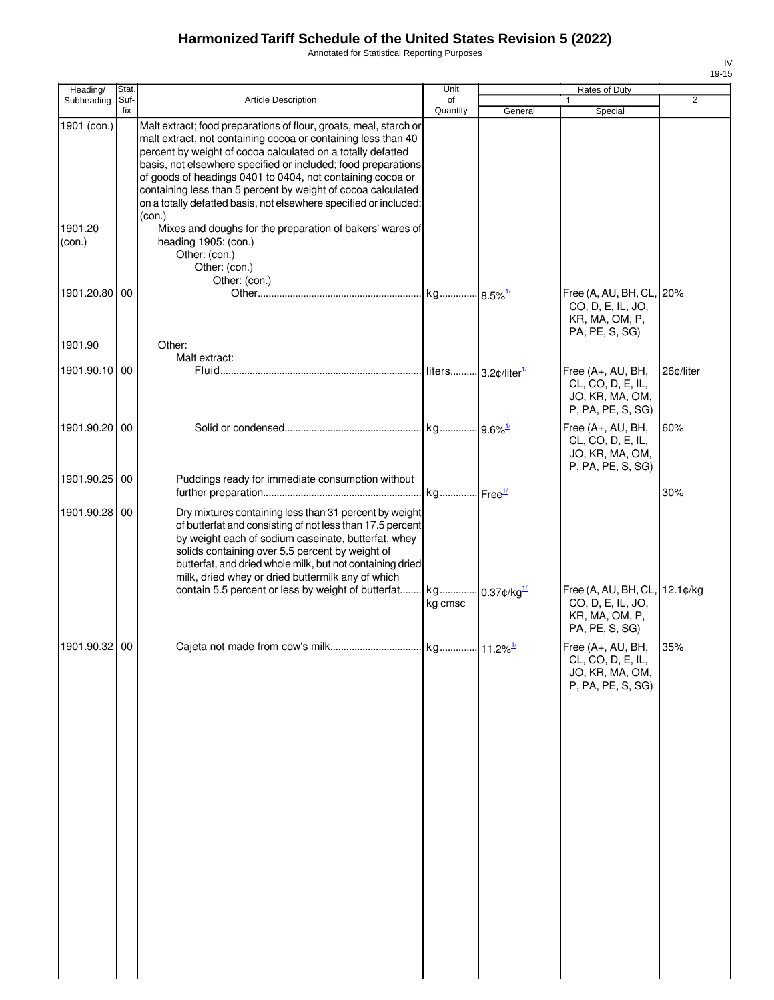Annotated for Statistical Reporting Purposes

| Heading/          | Stat.       |                                                                                                                                                                                                                                                                                                                                                                                                                                                                                 | Unit                                 |         | Rates of Duty                                                                     |                |
|-------------------|-------------|---------------------------------------------------------------------------------------------------------------------------------------------------------------------------------------------------------------------------------------------------------------------------------------------------------------------------------------------------------------------------------------------------------------------------------------------------------------------------------|--------------------------------------|---------|-----------------------------------------------------------------------------------|----------------|
| Subheading        | Suf-<br>fix | Article Description                                                                                                                                                                                                                                                                                                                                                                                                                                                             | of<br>Quantity                       | General | 1<br>Special                                                                      | $\overline{2}$ |
| 1901 (con.)       |             | Malt extract; food preparations of flour, groats, meal, starch or<br>malt extract, not containing cocoa or containing less than 40<br>percent by weight of cocoa calculated on a totally defatted<br>basis, not elsewhere specified or included; food preparations<br>of goods of headings 0401 to 0404, not containing cocoa or<br>containing less than 5 percent by weight of cocoa calculated<br>on a totally defatted basis, not elsewhere specified or included:<br>(con.) |                                      |         |                                                                                   |                |
| 1901.20<br>(con.) |             | Mixes and doughs for the preparation of bakers' wares of<br>heading 1905: (con.)<br>Other: (con.)<br>Other: (con.)<br>Other: (con.)                                                                                                                                                                                                                                                                                                                                             |                                      |         |                                                                                   |                |
| 1901.20.80        | 00          |                                                                                                                                                                                                                                                                                                                                                                                                                                                                                 |                                      |         | Free (A, AU, BH, CL, 20%<br>CO, D, E, IL, JO,<br>KR, MA, OM, P,<br>PA, PE, S, SG) |                |
| 1901.90           |             | Other:<br>Malt extract:                                                                                                                                                                                                                                                                                                                                                                                                                                                         |                                      |         |                                                                                   |                |
| 1901.90.10 00     |             |                                                                                                                                                                                                                                                                                                                                                                                                                                                                                 |                                      |         | Free (A+, AU, BH,<br>CL, CO, D, E, IL,<br>JO, KR, MA, OM,<br>P, PA, PE, S, SG)    | 26¢/liter      |
| 1901.90.20 00     |             |                                                                                                                                                                                                                                                                                                                                                                                                                                                                                 |                                      |         | Free (A+, AU, BH,<br>CL, CO, D, E, IL,<br>JO, KR, MA, OM,<br>P, PA, PE, S, SG)    | 60%            |
| 1901.90.25 00     |             | Puddings ready for immediate consumption without                                                                                                                                                                                                                                                                                                                                                                                                                                |                                      |         |                                                                                   | 30%            |
| 1901.90.28 00     |             | Dry mixtures containing less than 31 percent by weight<br>of butterfat and consisting of not less than 17.5 percent<br>by weight each of sodium caseinate, butterfat, whey<br>solids containing over 5.5 percent by weight of<br>butterfat, and dried whole milk, but not containing dried<br>milk, dried whey or dried buttermilk any of which<br>contain 5.5 percent or less by weight of butterfat                                                                           | kg 0.37¢/kg <sup>1/</sup><br>kg cmsc |         | Free (A, AU, BH, CL, 12.1¢/kg<br>CO, D, E, IL, JO,                                |                |
|                   |             |                                                                                                                                                                                                                                                                                                                                                                                                                                                                                 |                                      |         | KR, MA, OM, P,<br>PA, PE, S, SG)                                                  |                |
| 1901.90.32 00     |             |                                                                                                                                                                                                                                                                                                                                                                                                                                                                                 |                                      |         | Free (A+, AU, BH,<br>CL, CO, D, E, IL,<br>JO, KR, MA, OM,<br>P, PA, PE, S, SG)    | 35%            |
|                   |             |                                                                                                                                                                                                                                                                                                                                                                                                                                                                                 |                                      |         |                                                                                   |                |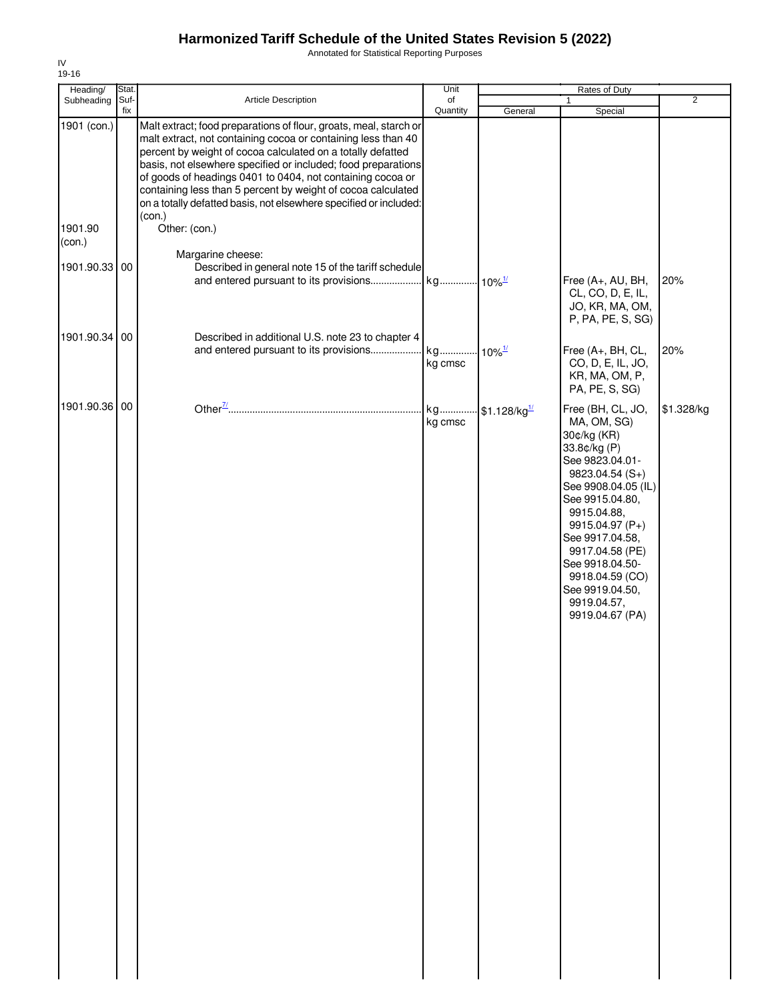Annotated for Statistical Reporting Purposes

| Heading/               | Stat.       |                                                                                                                                                                                                                                                                                                                                                                                                                                                                                                  | Unit                 |                          | Rates of Duty                                                                                                                                                                                                                                                                                                       |                |
|------------------------|-------------|--------------------------------------------------------------------------------------------------------------------------------------------------------------------------------------------------------------------------------------------------------------------------------------------------------------------------------------------------------------------------------------------------------------------------------------------------------------------------------------------------|----------------------|--------------------------|---------------------------------------------------------------------------------------------------------------------------------------------------------------------------------------------------------------------------------------------------------------------------------------------------------------------|----------------|
| Subheading             | Suf-<br>fix | Article Description                                                                                                                                                                                                                                                                                                                                                                                                                                                                              | of<br>Quantity       |                          |                                                                                                                                                                                                                                                                                                                     | $\overline{2}$ |
| 1901 (con.)<br>1901.90 |             | Malt extract; food preparations of flour, groats, meal, starch or<br>malt extract, not containing cocoa or containing less than 40<br>percent by weight of cocoa calculated on a totally defatted<br>basis, not elsewhere specified or included; food preparations<br>of goods of headings 0401 to 0404, not containing cocoa or<br>containing less than 5 percent by weight of cocoa calculated<br>on a totally defatted basis, not elsewhere specified or included:<br>(con.)<br>Other: (con.) |                      | General                  | Special                                                                                                                                                                                                                                                                                                             |                |
| (con.)                 |             | Margarine cheese:                                                                                                                                                                                                                                                                                                                                                                                                                                                                                |                      |                          |                                                                                                                                                                                                                                                                                                                     |                |
| 1901.90.33 00          |             | Described in general note 15 of the tariff schedule<br>and entered pursuant to its provisions                                                                                                                                                                                                                                                                                                                                                                                                    | kg 10% <sup>1/</sup> |                          | Free (A+, AU, BH,<br>CL, CO, D, E, IL,<br>JO, KR, MA, OM,<br>P, PA, PE, S, SG)                                                                                                                                                                                                                                      | 20%            |
| 1901.90.34 00          |             | Described in additional U.S. note 23 to chapter 4                                                                                                                                                                                                                                                                                                                                                                                                                                                |                      |                          |                                                                                                                                                                                                                                                                                                                     |                |
|                        |             | and entered pursuant to its provisions                                                                                                                                                                                                                                                                                                                                                                                                                                                           | kg<br>kg cmsc        | $10\%$ <sup>1/</sup>     | Free (A+, BH, CL,<br>CO, D, E, IL, JO,<br>KR, MA, OM, P,<br>PA, PE, S, SG)                                                                                                                                                                                                                                          | 20%            |
| 1901.90.36 00          |             |                                                                                                                                                                                                                                                                                                                                                                                                                                                                                                  | kg<br>kg cmsc        | \$1.128/kg <sup>1/</sup> | Free (BH, CL, JO,<br>MA, OM, SG)<br>30¢/kg (KR)<br>33.8¢/kg (P)<br>See 9823.04.01-<br>$9823.04.54(S+)$<br>See 9908.04.05 (IL)<br>See 9915.04.80,<br>9915.04.88,<br>9915.04.97 (P+)<br>See 9917.04.58,<br>9917.04.58 (PE)<br>See 9918.04.50-<br>9918.04.59 (CO)<br>See 9919.04.50,<br>9919.04.57,<br>9919.04.67 (PA) | \$1.328/kg     |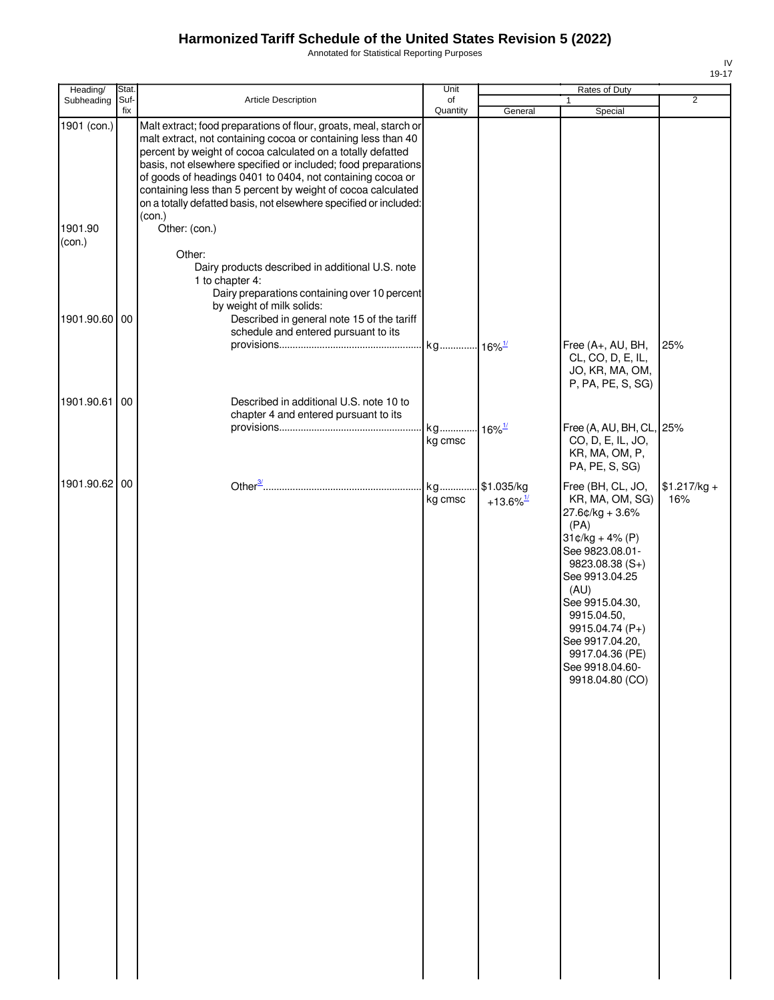Annotated for Statistical Reporting Purposes

| Heading/                         | Stat.       |                                                                                                                                                                                                                                                                                                                                                                                                                                                                                                            | Unit                 |                                    | Rates of Duty                                                                                                                                                                                                                                                                                                                |                      |
|----------------------------------|-------------|------------------------------------------------------------------------------------------------------------------------------------------------------------------------------------------------------------------------------------------------------------------------------------------------------------------------------------------------------------------------------------------------------------------------------------------------------------------------------------------------------------|----------------------|------------------------------------|------------------------------------------------------------------------------------------------------------------------------------------------------------------------------------------------------------------------------------------------------------------------------------------------------------------------------|----------------------|
| Subheading                       | Suf-<br>fix | Article Description                                                                                                                                                                                                                                                                                                                                                                                                                                                                                        | of<br>Quantity       | General                            | 1<br>Special                                                                                                                                                                                                                                                                                                                 | $\overline{2}$       |
| 1901 (con.)<br>1901.90<br>(con.) |             | Malt extract; food preparations of flour, groats, meal, starch or<br>malt extract, not containing cocoa or containing less than 40<br>percent by weight of cocoa calculated on a totally defatted<br>basis, not elsewhere specified or included; food preparations<br>of goods of headings 0401 to 0404, not containing cocoa or<br>containing less than 5 percent by weight of cocoa calculated<br>on a totally defatted basis, not elsewhere specified or included:<br>(con.)<br>Other: (con.)<br>Other: |                      |                                    |                                                                                                                                                                                                                                                                                                                              |                      |
| 1901.90.60 00                    |             | Dairy products described in additional U.S. note<br>1 to chapter 4:<br>Dairy preparations containing over 10 percent<br>by weight of milk solids:<br>Described in general note 15 of the tariff<br>schedule and entered pursuant to its                                                                                                                                                                                                                                                                    | kg 16% <sup>1/</sup> |                                    | Free (A+, AU, BH,<br>CL, CO, D, E, IL,                                                                                                                                                                                                                                                                                       | 25%                  |
| 1901.90.61                       | 00          | Described in additional U.S. note 10 to<br>chapter 4 and entered pursuant to its                                                                                                                                                                                                                                                                                                                                                                                                                           | kg<br>kg cmsc        | $16\%$ <sup>1/</sup>               | JO, KR, MA, OM,<br>P, PA, PE, S, SG)<br>Free (A, AU, BH, CL, 25%<br>CO, D, E, IL, JO,                                                                                                                                                                                                                                        |                      |
| 1901.90.62 00                    |             |                                                                                                                                                                                                                                                                                                                                                                                                                                                                                                            | kg<br>kg cmsc        | \$1.035/kg<br>+13.6% $\frac{1}{2}$ | KR, MA, OM, P,<br>PA, PE, S, SG)<br>Free (BH, CL, JO,<br>KR, MA, OM, SG)<br>$27.6$ ¢/kg + 3.6%<br>(PA)<br>$31¢/kg + 4% (P)$<br>See 9823.08.01-<br>9823.08.38 (S+)<br>See 9913.04.25<br>(AU)<br>See 9915.04.30,<br>9915.04.50,<br>9915.04.74 (P+)<br>See 9917.04.20,<br>9917.04.36 (PE)<br>See 9918.04.60-<br>9918.04.80 (CO) | $$1.217/kg +$<br>16% |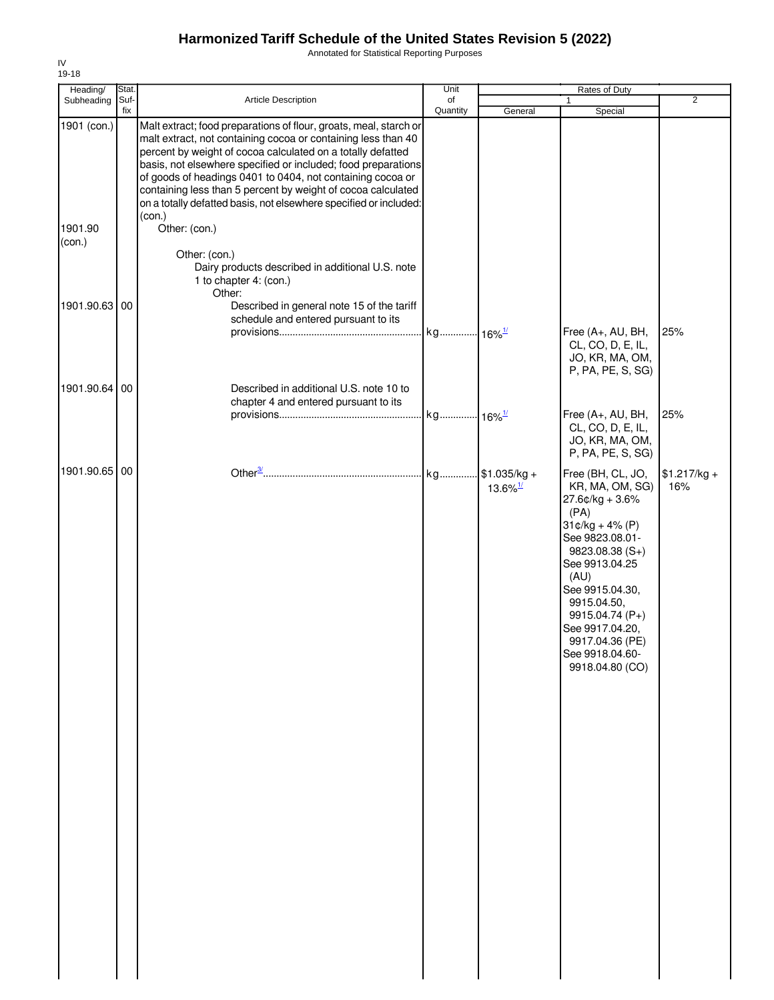Annotated for Statistical Reporting Purposes

| Heading/          | Stat.       |                                                                                                                                                                                                                                                                                                                                                                                                                                                                                 | Unit                 |                        | Rates of Duty                                                                                                                                                                                                                                                                             |                      |
|-------------------|-------------|---------------------------------------------------------------------------------------------------------------------------------------------------------------------------------------------------------------------------------------------------------------------------------------------------------------------------------------------------------------------------------------------------------------------------------------------------------------------------------|----------------------|------------------------|-------------------------------------------------------------------------------------------------------------------------------------------------------------------------------------------------------------------------------------------------------------------------------------------|----------------------|
| Subheading        | Suf-<br>fix | Article Description                                                                                                                                                                                                                                                                                                                                                                                                                                                             | of                   |                        | 1                                                                                                                                                                                                                                                                                         | $\overline{2}$       |
| 1901 (con.)       |             | Malt extract; food preparations of flour, groats, meal, starch or<br>malt extract, not containing cocoa or containing less than 40<br>percent by weight of cocoa calculated on a totally defatted<br>basis, not elsewhere specified or included; food preparations<br>of goods of headings 0401 to 0404, not containing cocoa or<br>containing less than 5 percent by weight of cocoa calculated<br>on a totally defatted basis, not elsewhere specified or included:<br>(con.) | Quantity             | General                | Special                                                                                                                                                                                                                                                                                   |                      |
| 1901.90<br>(con.) |             | Other: (con.)<br>Other: (con.)<br>Dairy products described in additional U.S. note<br>1 to chapter 4: (con.)<br>Other:                                                                                                                                                                                                                                                                                                                                                          |                      |                        |                                                                                                                                                                                                                                                                                           |                      |
| 1901.90.63 00     |             | Described in general note 15 of the tariff<br>schedule and entered pursuant to its                                                                                                                                                                                                                                                                                                                                                                                              | kg 16% <sup>1/</sup> |                        | Free (A+, AU, BH,<br>CL, CO, D, E, IL,                                                                                                                                                                                                                                                    | 25%                  |
| 1901.90.64 00     |             | Described in additional U.S. note 10 to                                                                                                                                                                                                                                                                                                                                                                                                                                         |                      |                        | JO, KR, MA, OM,<br>P, PA, PE, S, SG)                                                                                                                                                                                                                                                      |                      |
|                   |             | chapter 4 and entered pursuant to its                                                                                                                                                                                                                                                                                                                                                                                                                                           | kg 16% <sup>1/</sup> |                        | Free (A+, AU, BH,<br>CL, CO, D, E, IL,<br>JO, KR, MA, OM,<br>P, PA, PE, S, SG)                                                                                                                                                                                                            | 25%                  |
| 1901.90.65 00     |             |                                                                                                                                                                                                                                                                                                                                                                                                                                                                                 |                      | $13.6\%$ <sup>1/</sup> | Free (BH, CL, JO,<br>KR, MA, OM, SG)<br>$27.6$ ¢/kg + 3.6%<br>(PA)<br>$31¢/kg + 4% (P)$<br>See 9823.08.01-<br>$9823.08.38(S+)$<br>See 9913.04.25<br>(AU)<br>See 9915.04.30,<br>9915.04.50,<br>9915.04.74 (P+)<br>See 9917.04.20,<br>9917.04.36 (PE)<br>See 9918.04.60-<br>9918.04.80 (CO) | $$1.217/kg +$<br>16% |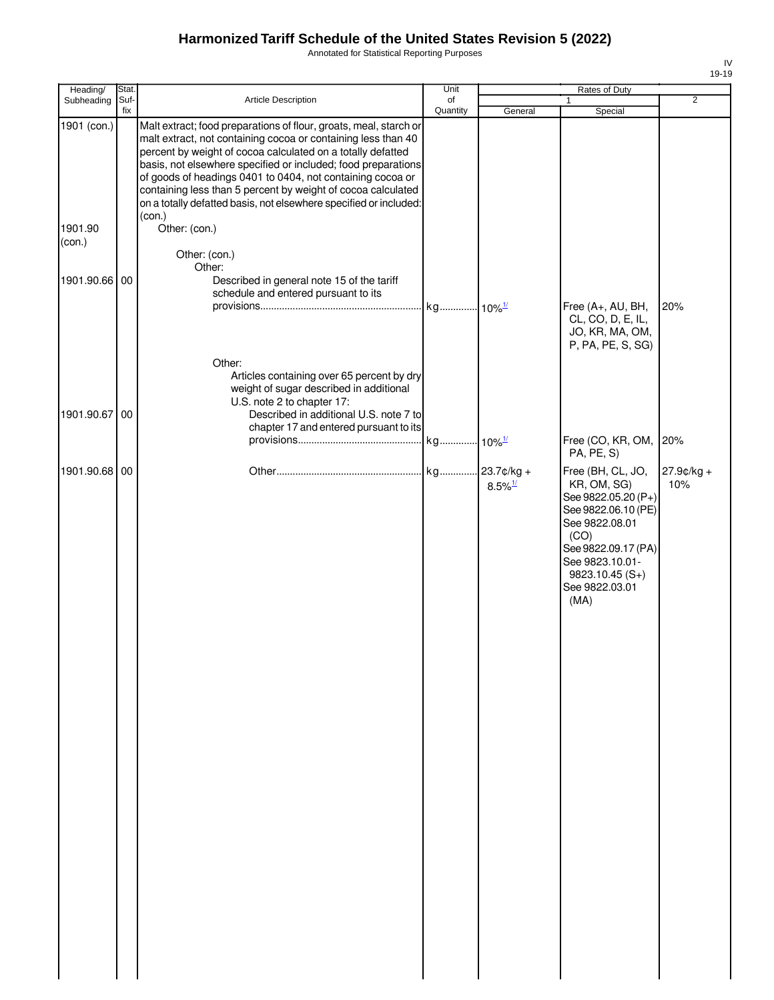Annotated for Statistical Reporting Purposes

| Heading/          | Stat. |                                                                                                                                                                                                                                                                                                                                                                                                                                                                       | Unit     |                       | Rates of Duty                                                                                                                                                                                                  |                   |
|-------------------|-------|-----------------------------------------------------------------------------------------------------------------------------------------------------------------------------------------------------------------------------------------------------------------------------------------------------------------------------------------------------------------------------------------------------------------------------------------------------------------------|----------|-----------------------|----------------------------------------------------------------------------------------------------------------------------------------------------------------------------------------------------------------|-------------------|
| Subheading        | Suf-  | Article Description                                                                                                                                                                                                                                                                                                                                                                                                                                                   | of       |                       | $\mathbf{1}$                                                                                                                                                                                                   | $\overline{2}$    |
| 1901 (con.)       | fix   | Malt extract; food preparations of flour, groats, meal, starch or<br>malt extract, not containing cocoa or containing less than 40<br>percent by weight of cocoa calculated on a totally defatted<br>basis, not elsewhere specified or included; food preparations<br>of goods of headings 0401 to 0404, not containing cocoa or<br>containing less than 5 percent by weight of cocoa calculated<br>on a totally defatted basis, not elsewhere specified or included: | Quantity | General               | Special                                                                                                                                                                                                        |                   |
| 1901.90<br>(con.) |       | (con.)<br>Other: (con.)<br>Other: (con.)                                                                                                                                                                                                                                                                                                                                                                                                                              |          |                       |                                                                                                                                                                                                                |                   |
| 1901.90.66 00     |       | Other:<br>Described in general note 15 of the tariff<br>schedule and entered pursuant to its                                                                                                                                                                                                                                                                                                                                                                          |          |                       | Free (A+, AU, BH,<br>CL, CO, D, E, IL,                                                                                                                                                                         | 20%               |
| 1901.90.67 00     |       | Other:<br>Articles containing over 65 percent by dry<br>weight of sugar described in additional<br>U.S. note 2 to chapter 17:<br>Described in additional U.S. note 7 to<br>chapter 17 and entered pursuant to its                                                                                                                                                                                                                                                     |          |                       | JO, KR, MA, OM,<br>P, PA, PE, S, SG)<br>Free (CO, KR, OM,                                                                                                                                                      | 20%               |
| 1901.90.68 00     |       |                                                                                                                                                                                                                                                                                                                                                                                                                                                                       |          | $8.5\%$ <sup>1/</sup> | PA, PE, S)<br>Free (BH, CL, JO,<br>KR, OM, SG)<br>See 9822.05.20 (P+)<br>See 9822.06.10 (PE)<br>See 9822.08.01<br>(CO)<br>See 9822.09.17 (PA)<br>See 9823.10.01-<br>$9823.10.45(S+)$<br>See 9822.03.01<br>(MA) | 27.9¢/kg +<br>10% |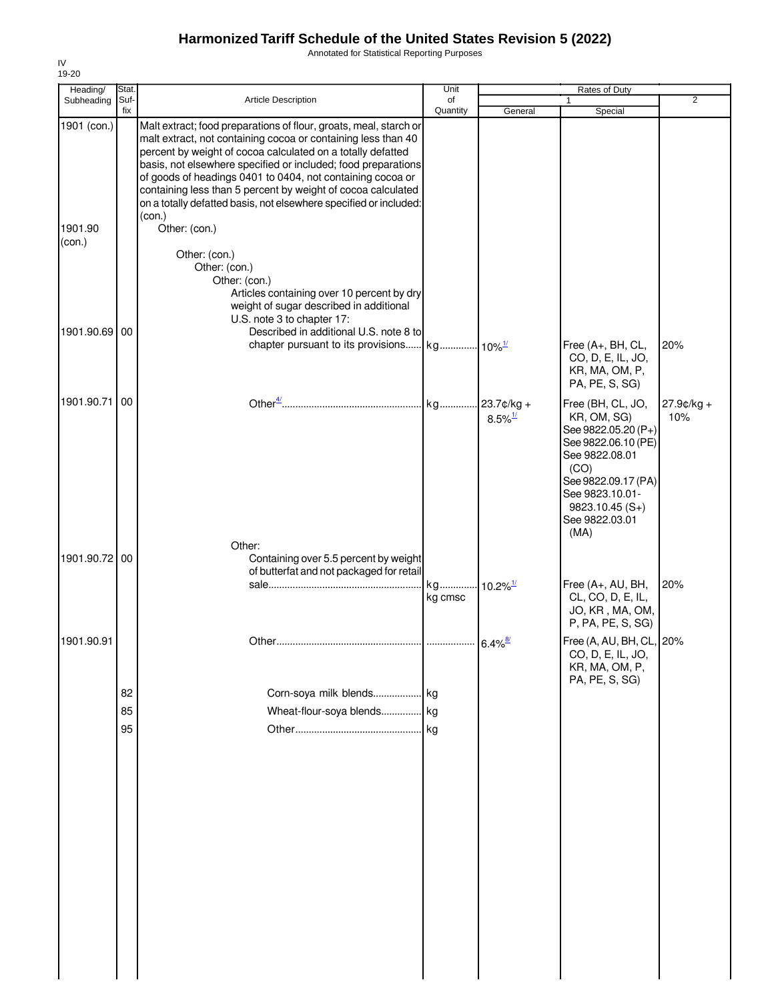Annotated for Statistical Reporting Purposes

| Heading/          | Stat.       |                                                                                                                                                                                                                                                                                                                                                                                                                                                                                 | Unit           |                                        | Rates of Duty                                                                                                                                                                                    |                   |
|-------------------|-------------|---------------------------------------------------------------------------------------------------------------------------------------------------------------------------------------------------------------------------------------------------------------------------------------------------------------------------------------------------------------------------------------------------------------------------------------------------------------------------------|----------------|----------------------------------------|--------------------------------------------------------------------------------------------------------------------------------------------------------------------------------------------------|-------------------|
| Subheading        | Suf-<br>fix | Article Description                                                                                                                                                                                                                                                                                                                                                                                                                                                             | of<br>Quantity | General                                | Special                                                                                                                                                                                          | $\overline{2}$    |
| 1901 (con.)       |             | Malt extract; food preparations of flour, groats, meal, starch or<br>malt extract, not containing cocoa or containing less than 40<br>percent by weight of cocoa calculated on a totally defatted<br>basis, not elsewhere specified or included; food preparations<br>of goods of headings 0401 to 0404, not containing cocoa or<br>containing less than 5 percent by weight of cocoa calculated<br>on a totally defatted basis, not elsewhere specified or included:<br>(con.) |                |                                        |                                                                                                                                                                                                  |                   |
| 1901.90<br>(con.) |             | Other: (con.)<br>Other: (con.)                                                                                                                                                                                                                                                                                                                                                                                                                                                  |                |                                        |                                                                                                                                                                                                  |                   |
|                   |             | Other: (con.)<br>Other: (con.)<br>Articles containing over 10 percent by dry<br>weight of sugar described in additional<br>U.S. note 3 to chapter 17:                                                                                                                                                                                                                                                                                                                           |                |                                        |                                                                                                                                                                                                  |                   |
| 1901.90.69        | 00          | Described in additional U.S. note 8 to                                                                                                                                                                                                                                                                                                                                                                                                                                          |                |                                        | Free (A+, BH, CL,<br>CO, D, E, IL, JO,<br>KR, MA, OM, P,<br>PA, PE, S, SG)                                                                                                                       | 20%               |
| 1901.90.71        | 00          |                                                                                                                                                                                                                                                                                                                                                                                                                                                                                 | kg             | $.23.7c/kg +$<br>$8.5\%$ <sup>1/</sup> | Free (BH, CL, JO,<br>KR, OM, SG)<br>See 9822.05.20 (P+)<br>See 9822.06.10 (PE)<br>See 9822.08.01<br>(CO)<br>See 9822.09.17 (PA)<br>See 9823.10.01-<br>$9823.10.45(S+)$<br>See 9822.03.01<br>(MA) | 27.9¢/kg +<br>10% |
| 1901.90.72 00     |             | Other:<br>Containing over 5.5 percent by weight<br>of butterfat and not packaged for retail                                                                                                                                                                                                                                                                                                                                                                                     | kg<br>kg cmsc  | $10.2\%$ <sup>1/</sup>                 | Free (A+, AU, BH,<br>CL, CO, D, E, IL,                                                                                                                                                           | 20%               |
| 1901.90.91        |             |                                                                                                                                                                                                                                                                                                                                                                                                                                                                                 |                |                                        | JO, KR, MA, OM,<br>P, PA, PE, S, SG)<br>Free (A, AU, BH, CL, 20%                                                                                                                                 |                   |
|                   | 82          | Corn-soya milk blends kg                                                                                                                                                                                                                                                                                                                                                                                                                                                        |                | $6.4\%$ <sup>8/</sup>                  | CO, D, E, IL, JO,<br>KR, MA, OM, P,<br>PA, PE, S, SG)                                                                                                                                            |                   |
|                   | 85          | Wheat-flour-soya blends kg                                                                                                                                                                                                                                                                                                                                                                                                                                                      |                |                                        |                                                                                                                                                                                                  |                   |
|                   | 95          |                                                                                                                                                                                                                                                                                                                                                                                                                                                                                 |                |                                        |                                                                                                                                                                                                  |                   |
|                   |             |                                                                                                                                                                                                                                                                                                                                                                                                                                                                                 |                |                                        |                                                                                                                                                                                                  |                   |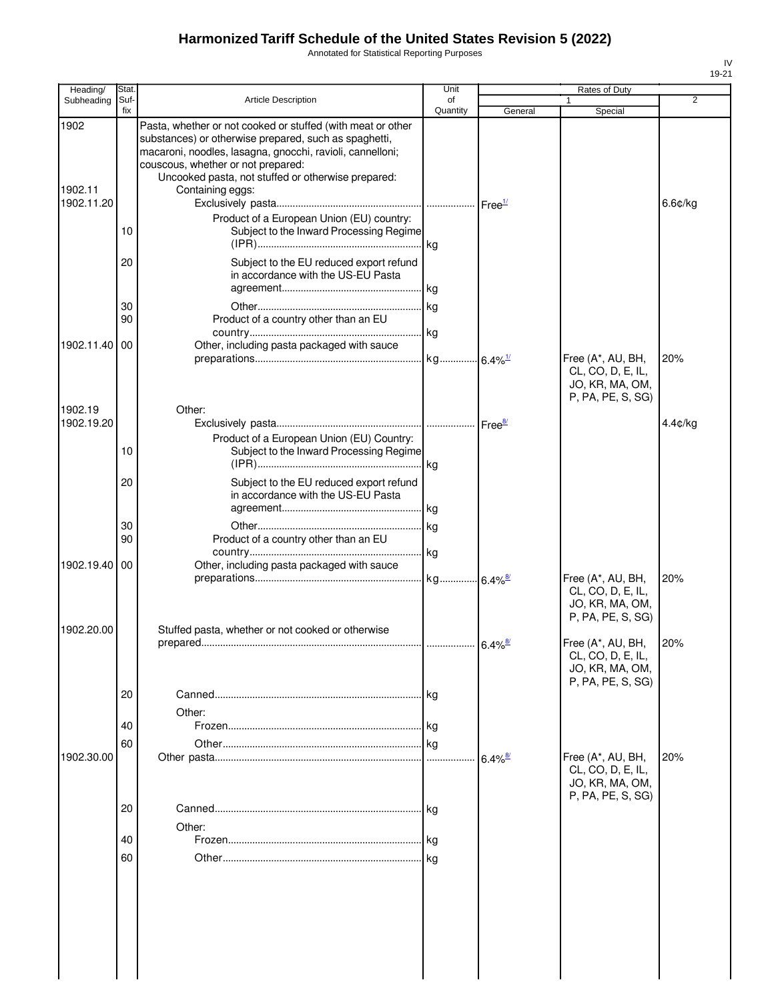Annotated for Statistical Reporting Purposes

| Heading/                      | Stat.       |                                                                                                                                                                                                                                                                                                   | Unit           |                       | Rates of Duty                                                                  |         |
|-------------------------------|-------------|---------------------------------------------------------------------------------------------------------------------------------------------------------------------------------------------------------------------------------------------------------------------------------------------------|----------------|-----------------------|--------------------------------------------------------------------------------|---------|
| Subheading                    | Suf-<br>fix | <b>Article Description</b>                                                                                                                                                                                                                                                                        | of<br>Quantity | General               | $\mathbf{1}$<br>Special                                                        | 2       |
| 1902<br>1902.11<br>1902.11.20 |             | Pasta, whether or not cooked or stuffed (with meat or other<br>substances) or otherwise prepared, such as spaghetti,<br>macaroni, noodles, lasagna, gnocchi, ravioli, cannelloni;<br>couscous, whether or not prepared:<br>Uncooked pasta, not stuffed or otherwise prepared:<br>Containing eggs: |                | Free <sup>1/</sup>    |                                                                                | 6.6¢/kg |
|                               | 10          | Product of a European Union (EU) country:<br>Subject to the Inward Processing Regime                                                                                                                                                                                                              |                |                       |                                                                                |         |
|                               | 20          | Subject to the EU reduced export refund<br>in accordance with the US-EU Pasta                                                                                                                                                                                                                     |                |                       |                                                                                |         |
|                               | 30<br>90    | Product of a country other than an EU                                                                                                                                                                                                                                                             |                |                       |                                                                                |         |
| 1902.11.40                    | 00          | Other, including pasta packaged with sauce                                                                                                                                                                                                                                                        |                |                       | Free (A*, AU, BH,<br>CL, CO, D, E, IL,<br>JO, KR, MA, OM,                      | 20%     |
| 1902.19<br>1902.19.20         |             | Other:<br>Product of a European Union (EU) Country:                                                                                                                                                                                                                                               |                | Free <sup>8/</sup>    | P, PA, PE, S, SG)                                                              | 4.4¢/kg |
|                               | 10<br>20    | Subject to the Inward Processing Regime<br>Subject to the EU reduced export refund                                                                                                                                                                                                                |                |                       |                                                                                |         |
|                               |             | in accordance with the US-EU Pasta                                                                                                                                                                                                                                                                |                |                       |                                                                                |         |
|                               | 30<br>90    | Product of a country other than an EU                                                                                                                                                                                                                                                             |                |                       |                                                                                |         |
| 1902.19.40                    | 00          | Other, including pasta packaged with sauce                                                                                                                                                                                                                                                        |                |                       | Free (A*, AU, BH,<br>CL, CO, D, E, IL,<br>JO, KR, MA, OM,<br>P, PA, PE, S, SG) | 20%     |
| 1902.20.00                    |             | Stuffed pasta, whether or not cooked or otherwise                                                                                                                                                                                                                                                 |                |                       | Free (A*, AU, BH,<br>CL, CO, D, E, IL,<br>JO, KR, MA, OM,                      | 20%     |
|                               | 20          | Other:                                                                                                                                                                                                                                                                                            |                |                       | P, PA, PE, S, SG)                                                              |         |
| 1902.30.00                    | 40<br>60    |                                                                                                                                                                                                                                                                                                   | l kg           | $6.4\%$ <sup>8/</sup> | Free (A*, AU, BH,                                                              | 20%     |
|                               |             |                                                                                                                                                                                                                                                                                                   |                |                       | CL, CO, D, E, IL,<br>JO, KR, MA, OM,<br>P, PA, PE, S, SG)                      |         |
|                               | 20<br>40    | Other:                                                                                                                                                                                                                                                                                            | l kg           |                       |                                                                                |         |
|                               | 60          |                                                                                                                                                                                                                                                                                                   |                |                       |                                                                                |         |
|                               |             |                                                                                                                                                                                                                                                                                                   |                |                       |                                                                                |         |
|                               |             |                                                                                                                                                                                                                                                                                                   |                |                       |                                                                                |         |
|                               |             |                                                                                                                                                                                                                                                                                                   |                |                       |                                                                                |         |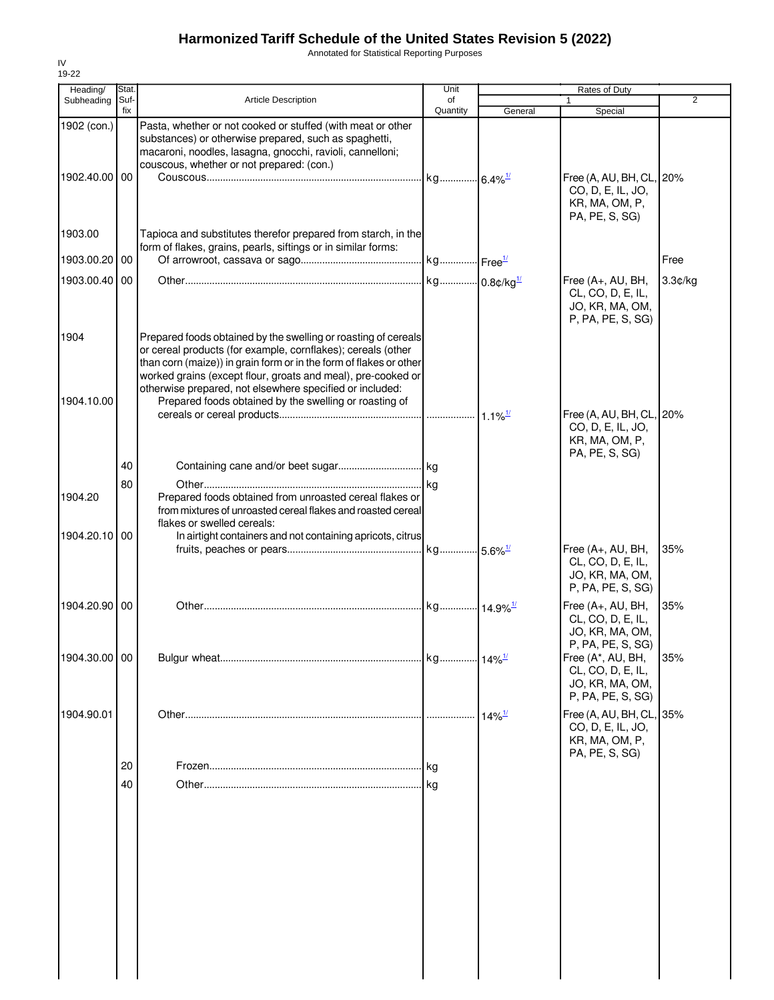Annotated for Statistical Reporting Purposes

| Heading/                     | <b>Stat</b> |                                                                                                                                                                                                                                                                                                                                                                                            | Unit     |                                            | Rates of Duty                                                                     |         |
|------------------------------|-------------|--------------------------------------------------------------------------------------------------------------------------------------------------------------------------------------------------------------------------------------------------------------------------------------------------------------------------------------------------------------------------------------------|----------|--------------------------------------------|-----------------------------------------------------------------------------------|---------|
| Subheading                   | Suf-        | <b>Article Description</b>                                                                                                                                                                                                                                                                                                                                                                 | of       |                                            |                                                                                   | 2       |
|                              | fix         |                                                                                                                                                                                                                                                                                                                                                                                            | Quantity | General                                    | Special                                                                           |         |
| 1902 (con.)<br>1902.40.00 00 |             | Pasta, whether or not cooked or stuffed (with meat or other<br>substances) or otherwise prepared, such as spaghetti,<br>macaroni, noodles, lasagna, gnocchi, ravioli, cannelloni;<br>couscous, whether or not prepared: (con.)                                                                                                                                                             |          |                                            | Free (A, AU, BH, CL, 20%<br>CO, D, E, IL, JO,                                     |         |
| 1903.00                      |             | Tapioca and substitutes therefor prepared from starch, in the<br>form of flakes, grains, pearls, siftings or in similar forms:                                                                                                                                                                                                                                                             |          |                                            | KR, MA, OM, P,<br>PA, PE, S, SG)                                                  |         |
| 1903.00.20 00                |             |                                                                                                                                                                                                                                                                                                                                                                                            |          |                                            |                                                                                   | Free    |
| 1903.00.40                   | 00          |                                                                                                                                                                                                                                                                                                                                                                                            |          |                                            | Free $(A+, AU, BH,$<br>CL, CO, D, E, IL,<br>JO, KR, MA, OM,<br>P, PA, PE, S, SG)  | 3.3¢/kg |
| 1904<br>1904.10.00           |             | Prepared foods obtained by the swelling or roasting of cereals<br>or cereal products (for example, cornflakes); cereals (other<br>than corn (maize)) in grain form or in the form of flakes or other<br>worked grains (except flour, groats and meal), pre-cooked or<br>otherwise prepared, not elsewhere specified or included:<br>Prepared foods obtained by the swelling or roasting of |          |                                            | Free (A, AU, BH, CL, 20%<br>CO, D, E, IL, JO,<br>KR, MA, OM, P,                   |         |
| 1904.20                      | 40<br>80    | Prepared foods obtained from unroasted cereal flakes or                                                                                                                                                                                                                                                                                                                                    |          |                                            | PA, PE, S, SG)                                                                    |         |
| 1904.20.10 00                |             | from mixtures of unroasted cereal flakes and roasted cereal<br>flakes or swelled cereals:<br>In airtight containers and not containing apricots, citrus                                                                                                                                                                                                                                    |          |                                            |                                                                                   |         |
|                              |             |                                                                                                                                                                                                                                                                                                                                                                                            |          |                                            | Free (A+, AU, BH,<br>CL, CO, D, E, IL,<br>JO, KR, MA, OM,<br>P, PA, PE, S, SG)    | 35%     |
| 1904.20.90 00                |             |                                                                                                                                                                                                                                                                                                                                                                                            |          |                                            | Free (A+, AU, BH,<br>CL, CO, D, E, IL,<br>JO, KR, MA, OM,<br>P, PA, PE, S, SG)    | 35%     |
| 1904.30.00 00                |             |                                                                                                                                                                                                                                                                                                                                                                                            |          |                                            | Free (A*, AU, BH,<br>CL, CO, D, E, IL,<br>JO, KR, MA, OM,<br>P, PA, PE, S, SG)    | 35%     |
| 1904.90.01                   |             |                                                                                                                                                                                                                                                                                                                                                                                            |          | $14\%$ <sup><math>\frac{1}{2}</math></sup> | Free (A, AU, BH, CL, 35%<br>CO, D, E, IL, JO,<br>KR, MA, OM, P,<br>PA, PE, S, SG) |         |
|                              | 20<br>40    |                                                                                                                                                                                                                                                                                                                                                                                            | l kg     |                                            |                                                                                   |         |
|                              |             |                                                                                                                                                                                                                                                                                                                                                                                            |          |                                            |                                                                                   |         |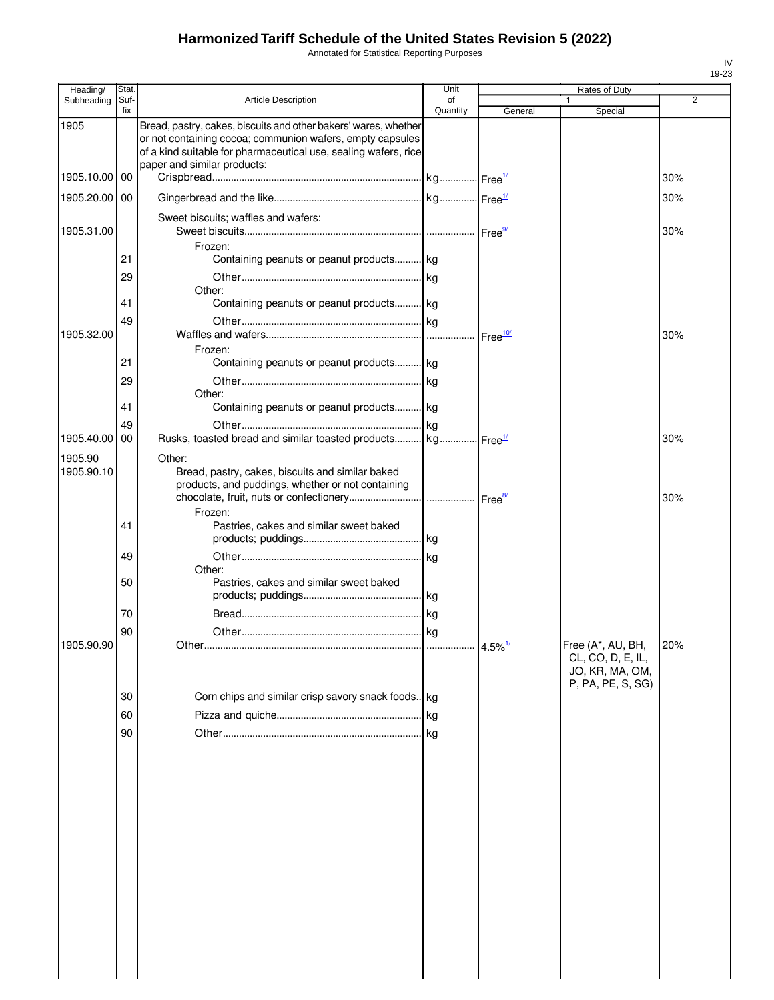Annotated for Statistical Reporting Purposes

| Heading/              | Stat.       |                                                                                                                                                                                                                                | Unit           |                       | <b>Rates of Duty</b>                                      |                |
|-----------------------|-------------|--------------------------------------------------------------------------------------------------------------------------------------------------------------------------------------------------------------------------------|----------------|-----------------------|-----------------------------------------------------------|----------------|
| Subheading            | Suf-<br>fix | <b>Article Description</b>                                                                                                                                                                                                     | of<br>Quantity | General               | 1<br>Special                                              | $\overline{2}$ |
| 1905                  |             | Bread, pastry, cakes, biscuits and other bakers' wares, whether<br>or not containing cocoa; communion wafers, empty capsules<br>of a kind suitable for pharmaceutical use, sealing wafers, rice<br>paper and similar products: |                |                       |                                                           |                |
| 1905.10.00            | 00          |                                                                                                                                                                                                                                |                |                       |                                                           | 30%            |
| 1905.20.00            | 00          |                                                                                                                                                                                                                                |                |                       |                                                           | 30%            |
| 1905.31.00            |             | Sweet biscuits; waffles and wafers:                                                                                                                                                                                            |                |                       |                                                           | 30%            |
|                       | 21          | Frozen:<br>Containing peanuts or peanut products kg                                                                                                                                                                            |                |                       |                                                           |                |
|                       | 29          | Other:                                                                                                                                                                                                                         |                |                       |                                                           |                |
|                       | 41          | Containing peanuts or peanut products kg                                                                                                                                                                                       |                |                       |                                                           |                |
| 1905.32.00            | 49          |                                                                                                                                                                                                                                |                |                       |                                                           | 30%            |
|                       | 21          | Frozen:<br>Containing peanuts or peanut products kg                                                                                                                                                                            |                |                       |                                                           |                |
|                       | 29          | Other:                                                                                                                                                                                                                         |                |                       |                                                           |                |
|                       | 41          | Containing peanuts or peanut products kg                                                                                                                                                                                       |                |                       |                                                           |                |
| 1905.40.00            | 49<br>00    | Rusks, toasted bread and similar toasted products kg Free <sup>14</sup>                                                                                                                                                        |                |                       |                                                           | 30%            |
| 1905.90<br>1905.90.10 |             | Other:<br>Bread, pastry, cakes, biscuits and similar baked<br>products, and puddings, whether or not containing                                                                                                                |                |                       |                                                           | 30%            |
|                       |             | Frozen:                                                                                                                                                                                                                        |                |                       |                                                           |                |
|                       | 41          | Pastries, cakes and similar sweet baked                                                                                                                                                                                        |                |                       |                                                           |                |
|                       | 49          | Other:                                                                                                                                                                                                                         |                |                       |                                                           |                |
|                       | 50          | Pastries, cakes and similar sweet baked                                                                                                                                                                                        |                |                       |                                                           |                |
|                       | 70          |                                                                                                                                                                                                                                |                |                       |                                                           |                |
| 1905.90.90            | 90          | Other.                                                                                                                                                                                                                         |                | $4.5\%$ <sup>1/</sup> | Free (A*, AU, BH,                                         | 20%            |
|                       |             |                                                                                                                                                                                                                                |                |                       | CL, CO, D, E, IL,<br>JO, KR, MA, OM,<br>P, PA, PE, S, SG) |                |
|                       | 30          | Corn chips and similar crisp savory snack foods. kg                                                                                                                                                                            |                |                       |                                                           |                |
|                       | 60          |                                                                                                                                                                                                                                |                |                       |                                                           |                |
|                       | 90          |                                                                                                                                                                                                                                |                |                       |                                                           |                |
|                       |             |                                                                                                                                                                                                                                |                |                       |                                                           |                |
|                       |             |                                                                                                                                                                                                                                |                |                       |                                                           |                |
|                       |             |                                                                                                                                                                                                                                |                |                       |                                                           |                |
|                       |             |                                                                                                                                                                                                                                |                |                       |                                                           |                |
|                       |             |                                                                                                                                                                                                                                |                |                       |                                                           |                |
|                       |             |                                                                                                                                                                                                                                |                |                       |                                                           |                |
|                       |             |                                                                                                                                                                                                                                |                |                       |                                                           |                |
|                       |             |                                                                                                                                                                                                                                |                |                       |                                                           |                |